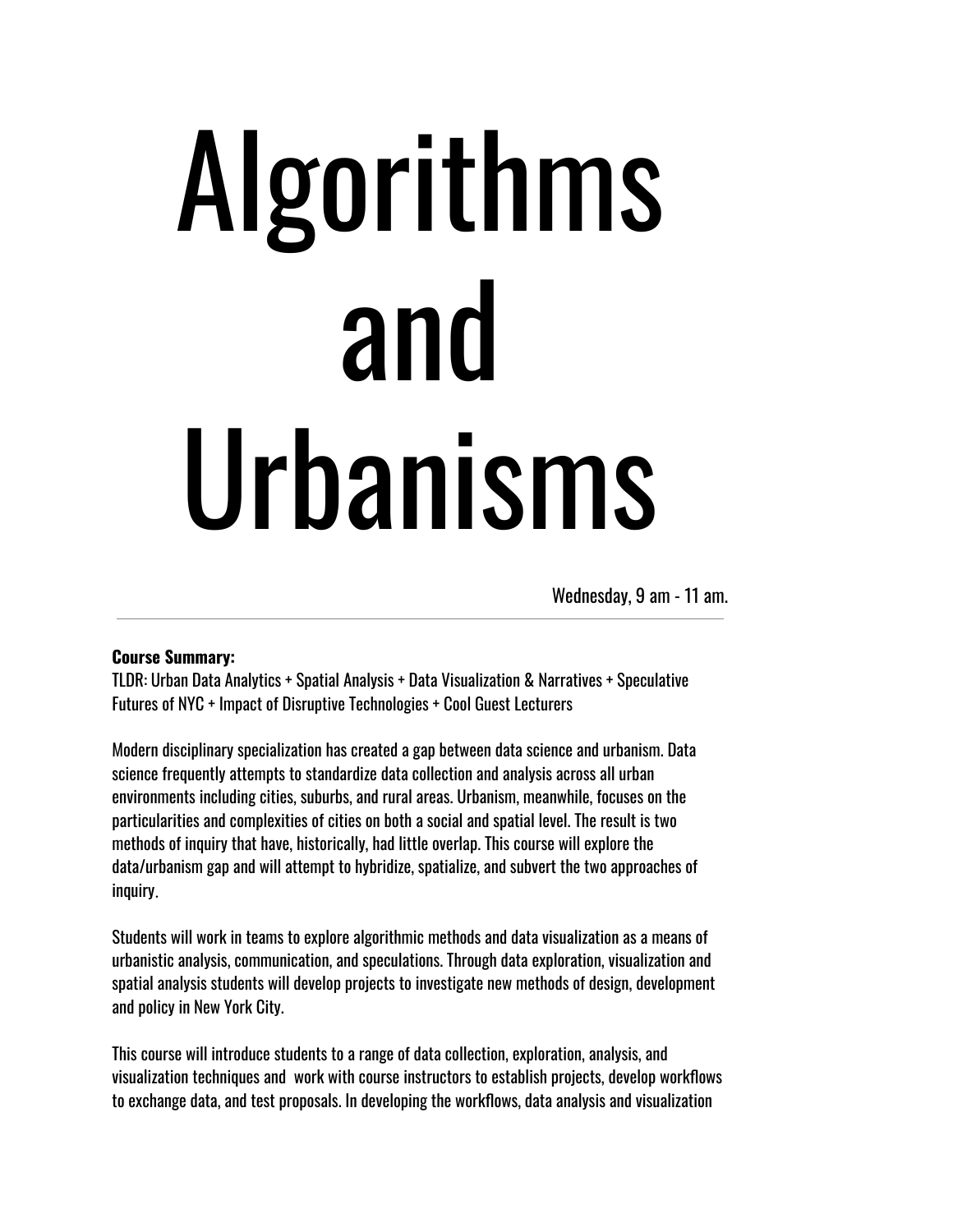# Algorithms and Urbanisms

Wednesday, 9 am - 11 am.

#### **Course Summary:**

TLDR: Urban Data Analytics + Spatial Analysis + Data Visualization & Narratives + Speculative Futures of NYC + Impact of Disruptive Technologies + Cool Guest Lecturers

Modern disciplinary specialization has created a gap between data science and urbanism. Data science frequently attempts to standardize data collection and analysis across all urban environments including cities, suburbs, and rural areas. Urbanism, meanwhile, focuses on the particularities and complexities of cities on both a social and spatial level. The result is two methods of inquiry that have, historically, had little overlap. This course will explore the data/urbanism gap and will attempt to hybridize, spatialize, and subvert the two approaches of inquiry.

Students will work in teams to explore algorithmic methods and data visualization as a means of urbanistic analysis, communication, and speculations. Through data exploration, visualization and spatial analysis students will develop projects to investigate new methods of design, development and policy in New York City.

This course will introduce students to a range of data collection, exploration, analysis, and visualization techniques and work with course instructors to establish projects, develop workflows to exchange data, and test proposals. In developing the workflows, data analysis and visualization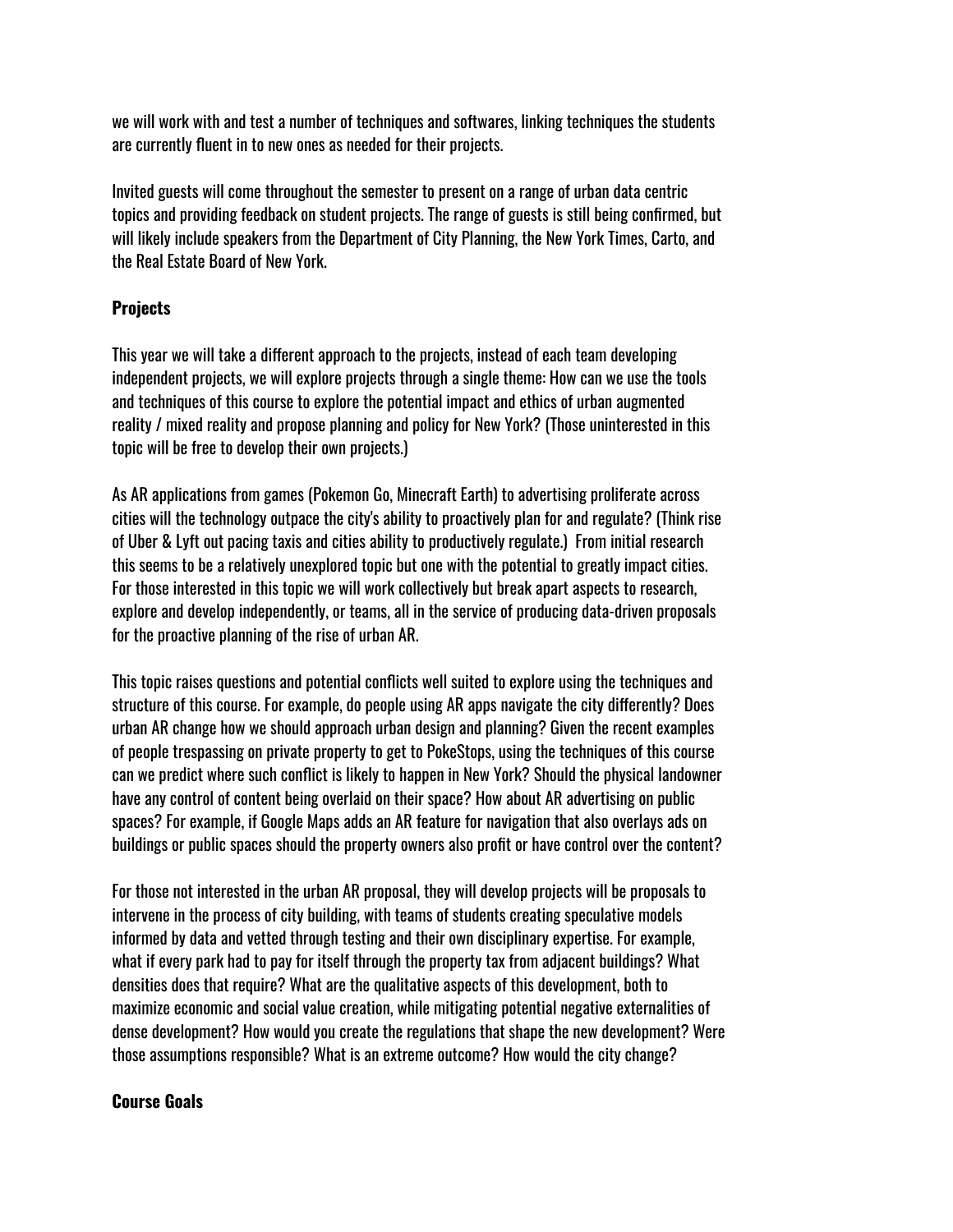we will work with and test a number of techniques and softwares, linking techniques the students are currently fluent in to new ones as needed for their projects.

Invited guests will come throughout the semester to present on a range of urban data centric topics and providing feedback on student projects. The range of guests is still being confirmed, but will likely include speakers from the Department of City Planning, the New York Times, Carto, and the Real Estate Board of New York.

#### **Projects**

This year we will take a different approach to the projects, instead of each team developing independent projects, we will explore projects through a single theme: How can we use the tools and techniques of this course to explore the potential impact and ethics of urban augmented reality / mixed reality and propose planning and policy for New York? (Those uninterested in this topic will be free to develop their own projects.)

As AR applications from games (Pokemon Go, Minecraft Earth) to advertising proliferate across cities will the technology outpace the city's ability to proactively plan for and regulate? (Think rise of Uber & Lyft out pacing taxis and cities ability to productively regulate.) From initial research this seems to be a relatively unexplored topic but one with the potential to greatly impact cities. For those interested in this topic we will work collectively but break apart aspects to research, explore and develop independently, or teams, all in the service of producing data-driven proposals for the proactive planning of the rise of urban AR.

This topic raises questions and potential conflicts well suited to explore using the techniques and structure of this course. For example, do people using AR apps navigate the city differently? Does urban AR change how we should approach urban design and planning? Given the recent examples of people trespassing on private property to get to PokeStops, using the techniques of this course can we predict where such conflict is likely to happen in New York? Should the physical landowner have any control of content being overlaid on their space? How about AR advertising on public spaces? For example, if Google Maps adds an AR feature for navigation that also overlays ads on buildings or public spaces should the property owners also profit or have control over the content?

For those not interested in the urban AR proposal, they will develop projects will be proposals to intervene in the process of city building, with teams of students creating speculative models informed by data and vetted through testing and their own disciplinary expertise. For example, what if every park had to pay for itself through the property tax from adjacent buildings? What densities does that require? What are the qualitative aspects of this development, both to maximize economic and social value creation, while mitigating potential negative externalities of dense development? How would you create the regulations that shape the new development? Were those assumptions responsible? What is an extreme outcome? How would the city change?

#### **Course Goals**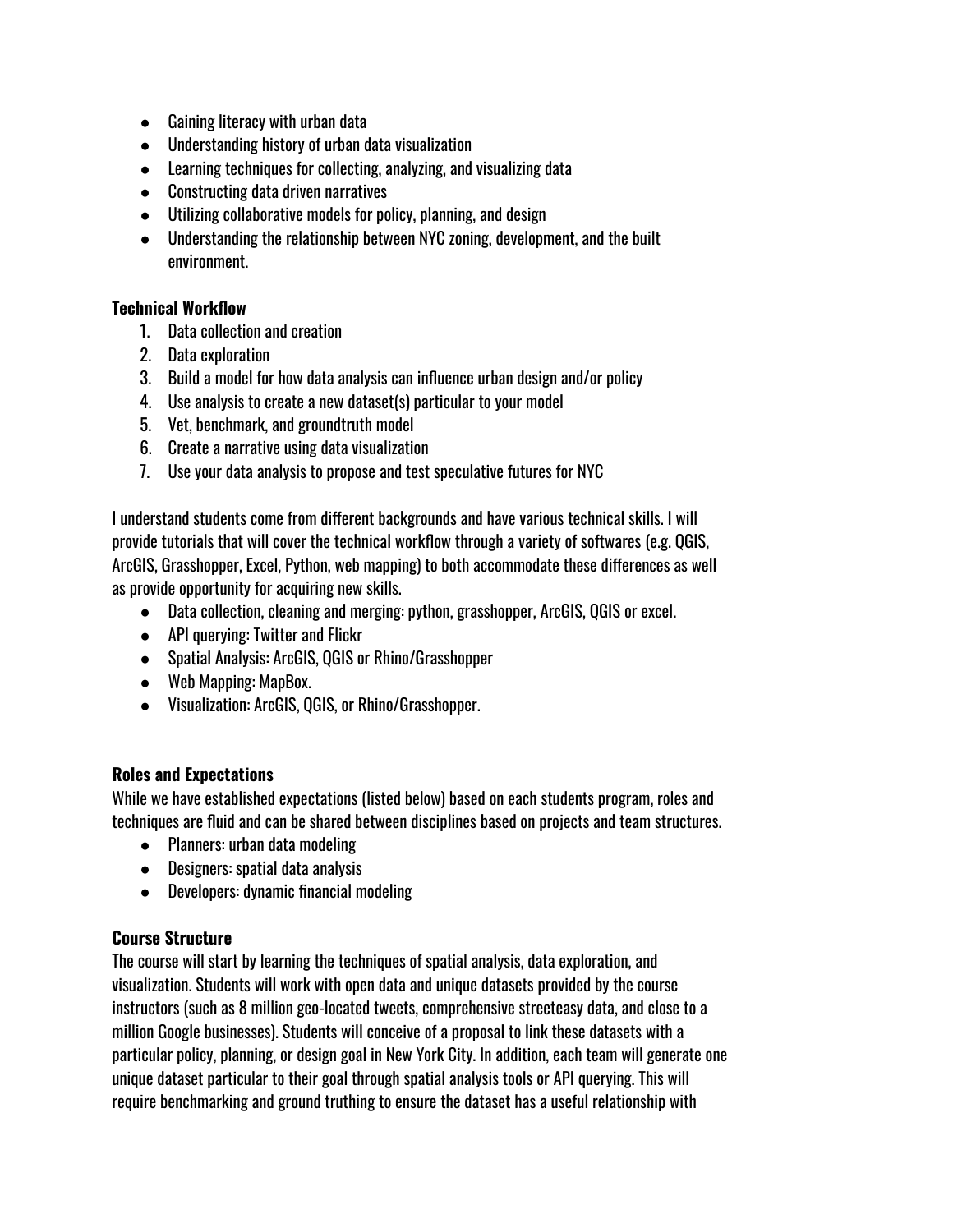- Gaining literacy with urban data
- Understanding history of urban data visualization
- Learning techniques for collecting, analyzing, and visualizing data
- Constructing data driven narratives
- Utilizing collaborative models for policy, planning, and design
- Understanding the relationship between NYC zoning, development, and the built environment.

#### **Technical Workflow**

- 1. Data collection and creation
- 2. Data exploration
- 3. Build a model for how data analysis can influence urban design and/or policy
- 4. Use analysis to create a new dataset(s) particular to your model
- 5. Vet, benchmark, and groundtruth model
- 6. Create a narrative using data visualization
- 7. Use your data analysis to propose and test speculative futures for NYC

I understand students come from different backgrounds and have various technical skills. I will provide tutorials that will cover the technical workflow through a variety of softwares (e.g. QGIS, ArcGIS, Grasshopper, Excel, Python, web mapping) to both accommodate these differences as well as provide opportunity for acquiring new skills.

- Data collection, cleaning and merging: python, grasshopper, ArcGIS, QGIS or excel.
- API querving: Twitter and Flickr
- Spatial Analysis: ArcGIS, QGIS or Rhino/Grasshopper
- Web Mapping: MapBox.
- Visualization: ArcGIS, QGIS, or Rhino/Grasshopper.

#### **Roles and Expectations**

While we have established expectations (listed below) based on each students program, roles and techniques are fluid and can be shared between disciplines based on projects and team structures.

- Planners: urban data modeling
- Designers: spatial data analysis
- Developers: dynamic financial modeling

#### **Course Structure**

The course will start by learning the techniques of spatial analysis, data exploration, and visualization. Students will work with open data and unique datasets provided by the course instructors (such as 8 million geo-located tweets, comprehensive streeteasy data, and close to a million Google businesses). Students will conceive of a proposal to link these datasets with a particular policy, planning, or design goal in New York City. In addition, each team will generate one unique dataset particular to their goal through spatial analysis tools or API querying. This will require benchmarking and ground truthing to ensure the dataset has a useful relationship with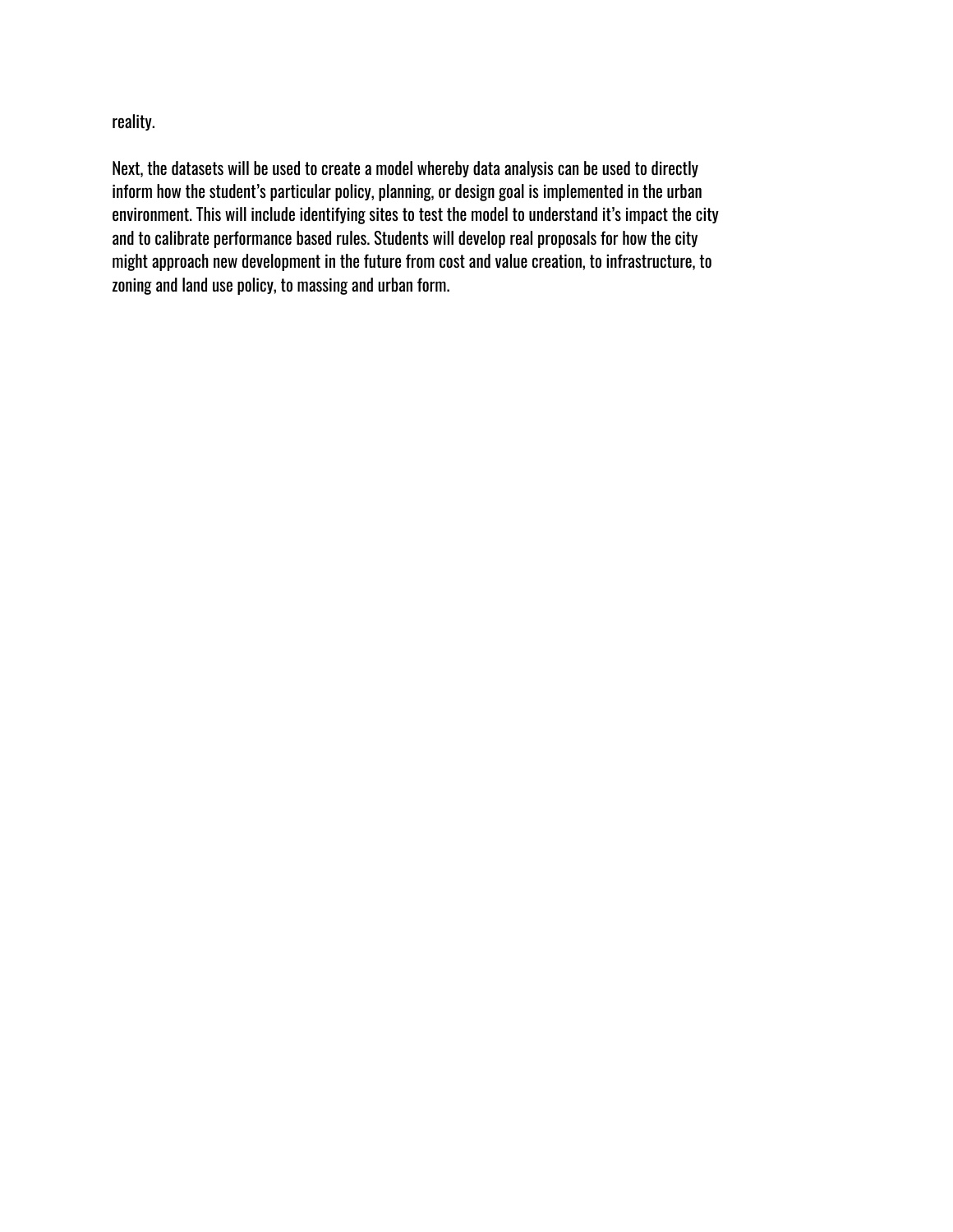reality.

Next, the datasets will be used to create a model whereby data analysis can be used to directly inform how the student's particular policy, planning, or design goal is implemented in the urban environment. This will include identifying sites to test the model to understand it's impact the city and to calibrate performance based rules. Students will develop real proposals for how the city might approach new development in the future from cost and value creation, to infrastructure, to zoning and land use policy, to massing and urban form.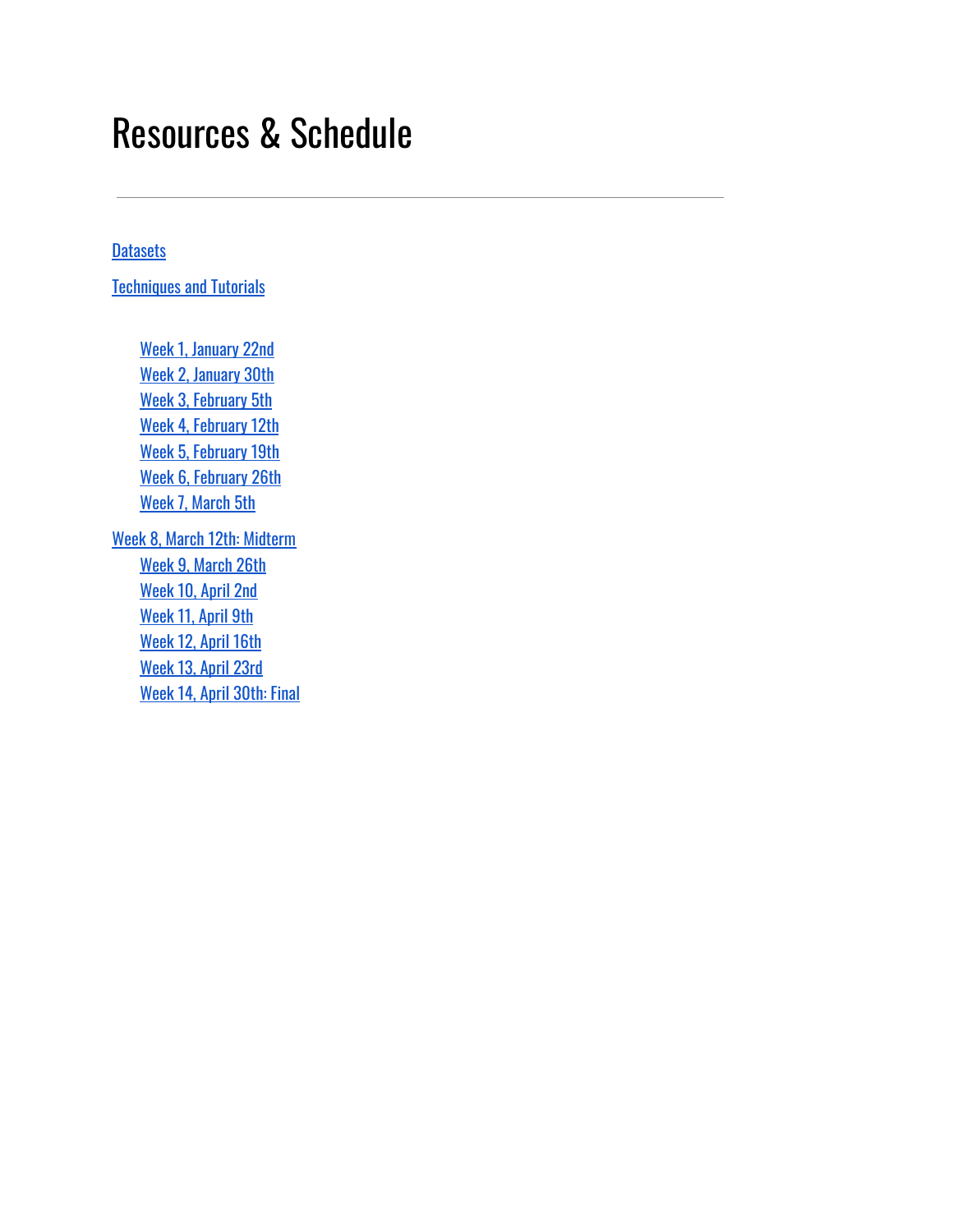# Resources & Schedule

#### **[Datasets](#page-5-0)**

**[Techniques](#page-7-0) and Tutorials** 

[Week 1,](#page-15-0) January 22nd [Week 2,](#page-16-0) January 30th Week 3, [February](#page-17-0) 5th Week 4, [February](#page-19-0) 12th Week 5, [February](#page-20-0) 19th Week 6, [February](#page-22-0) 26th [Week 7,](#page-23-0) March 5th Week 8, March 12th: [Midterm](#page-24-0) [Week 9,](#page-27-0) March 26th [Week 10,](#page-28-0) April 2nd [Week 11,](#page-29-0) April 9th [Week 12,](#page-30-0) April 16th [Week 13,](#page-31-0) April 23rd

[Week 14,](#page-32-0) April 30th: Final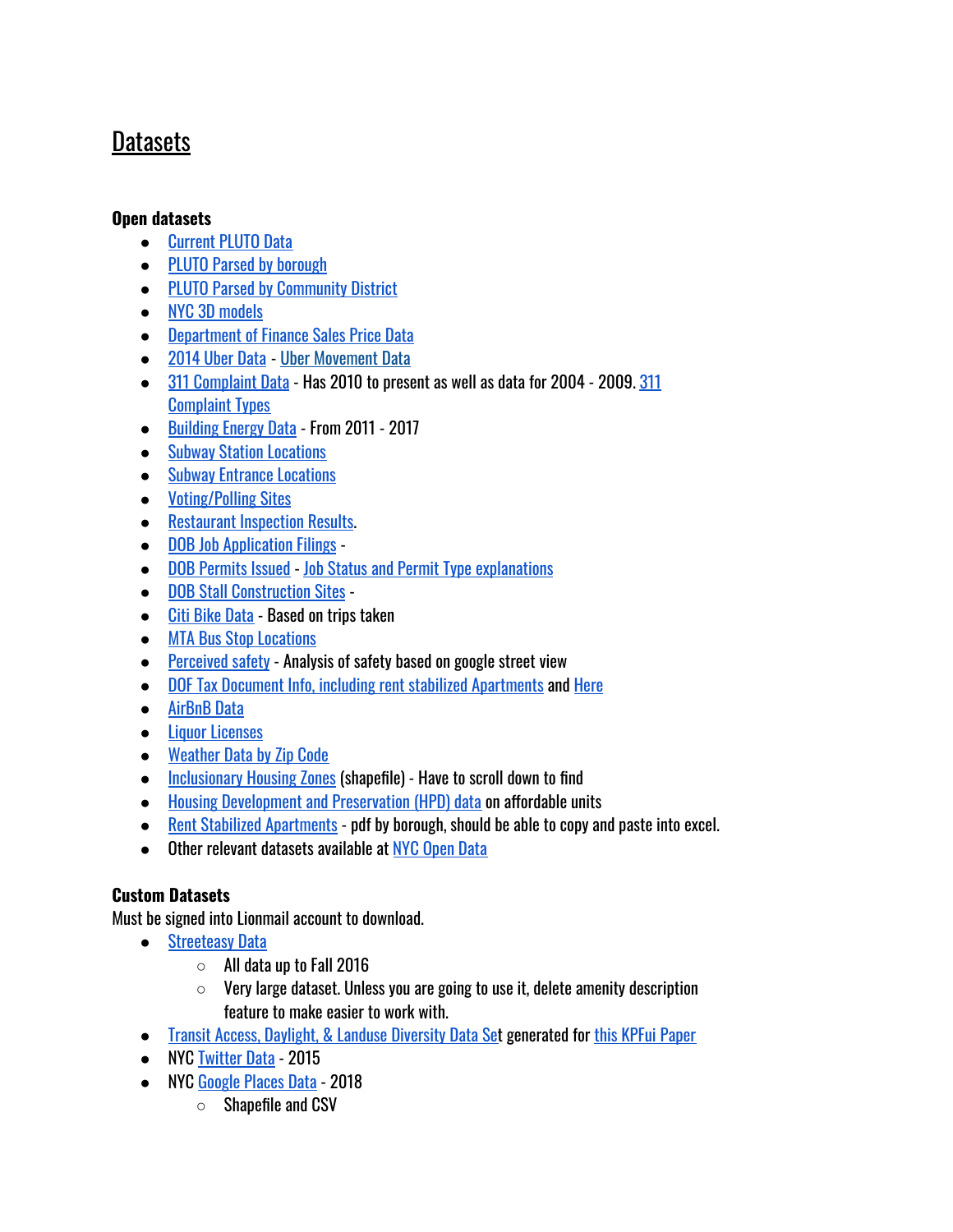# <span id="page-5-0"></span>Datasets

#### **Open datasets**

- [Current](https://www1.nyc.gov/site/planning/data-maps/open-data/dwn-pluto-mappluto.page) PLUTO Data
- PLUTO Parsed by [borough](https://drive.google.com/open?id=146fTTp6EbzD-IBx8yk8N-owD3R3P8zep)
- PLUTO Parsed by [Community](https://drive.google.com/open?id=1rvnoZXPmLV1cl8Lg3vWNFBMbyJEHzQYM) District
- NYC 3D [models](https://www1.nyc.gov/site/planning/data-maps/open-data/dwn-nyc-3d-model-download.page)
- Department of [Finance Sales](http://www1.nyc.gov/site/finance/taxes/property-rolling-sales-data.page) Price Data
- [2014 Uber](https://github.com/fivethirtyeight/uber-tlc-foil-response) Data Uber [Movement](https://movement.uber.com/cities?lang=en-US) Data
- 311 [Complaint](https://nycopendata.socrata.com/Social-Services/311-Service-Requests-from-2010-to-Present/erm2-nwe9) Data Has 2010 to present as well as data for 2004 2009. [311](https://drive.google.com/file/d/0B_9V1tzNWm_fOFVTVldhLW1VcVk/view?usp=sharing) [Complaint](https://drive.google.com/file/d/0B_9V1tzNWm_fOFVTVldhLW1VcVk/view?usp=sharing) Types
- [Building](http://www.nyc.gov/html/gbee/html/plan/ll84_scores.shtml) Energy Data From 2011 2017
- Subway Station [Locations](https://data.cityofnewyork.us/Transportation/Subway-Stations/arq3-7z49)
- Subway [Entrance Locations](https://data.cityofnewyork.us/Transportation/Subway-Entrances/drex-xx56)
- [Voting/Polling](https://data.cityofnewyork.us/City-Government/Voting-Poll-Sites/mifw-tguq) Sites
- [Restaurant](https://data.cityofnewyork.us/Health/DOHMH-New-York-City-Restaurant-Inspection-Results/43nn-pn8j) Inspection Results.
- **DOB Job [Application](https://data.cityofnewyork.us/Housing-Development/DOB-Job-Application-Filings/ic3t-wcy2) Filings**
- DOB [Permits](https://data.cityofnewyork.us/Housing-Development/DOB-Permit-Issuance/ipu4-2q9a) Issued Job Status and Permit [Type explanations](https://www1.nyc.gov/assets/buildings/pdf/bisjobstatus.pdf)
- DOB Stall [Construction](https://data.cityofnewyork.us/Housing-Development/DOB-Stalled-Construction-Sites/i296-73x5) Sites -
- Citi [Bike Data](https://www.citibikenyc.com/system-data) Based on trips taken
- MTA Bus Stop [Locations](https://wfs.gc.cuny.edu/SRomalewski/MTA_GISdata/nycbusstops_100401.zip)
- [Perceived](http://streetscore.media.mit.edu/) safety Analysis of safety based on google street view
- DOF Tax Document Info, including rent stabilized [Apartments](https://github.com/talos/nyc-stabilization-unit-counts) and [Here](http://taxbills.nyc/)
- [AirBnB](http://insideairbnb.com/get-the-data.html) Data
- Liquor [Licenses](https://data.ny.gov/Economic-Development/Liquor-Authority-Quarterly-List-of-Active-Licenses/hrvs-fxs2)
- [Weather](https://www.climate.gov/maps-data/dataset/past-weather-zip-code-data-table) Data by Zip Code
- [Inclusionary](http://www1.nyc.gov/site/planning/data-maps/open-data.page) Housing Zones (shapefile) Have to scroll down to find
- Housing [Development](http://www1.nyc.gov/site/hpd/about/open-data.page) and Preservation (HPD) data on affordable units
- Rent Stabilized [Apartments](http://www.nycrgb.org/html/resources/zip.html#tables) pdf by borough, should be able to copy and paste into excel.
- Other relevant datasets available at NYC [Open](https://nycopendata.socrata.com/) Data

#### **Custom Datasets**

Must be signed into Lionmail account to download.

- [Streeteasy](https://drive.google.com/open?id=0B94350sYN6P1RWgwQXlqUGJQeFk) Data
	- $\circ$  All data up to Fall 2016
	- $\circ$  Very large dataset. Unless you are going to use it, delete amenity description feature to make easier to work with.
- Transit Access, Daylight, & [Landuse Diversity](https://drive.google.com/file/d/1G_157YrwAOeRDK7Ekaw8n5HNVi94c6bq/view?usp=sharing) Data Set generated for this KPFui [Paper](https://static1.squarespace.com/static/568ee2b4cbced6419694f1fc/t/5c37585f4d7a9c82b6128f70/1547130979391/Performance_Based_Zoning.pdf)
- NYC [Twitter](https://drive.google.com/open?id=0B94350sYN6P1YnFUUWxiaUg0QUE) Data 2015
- NYC [Google Places](https://drive.google.com/file/d/1zBl_gqdrbUyAZUTv5p4ijEjSkRLORbsI/view?usp=sharing) Data 2018
	- Shapefile and CSV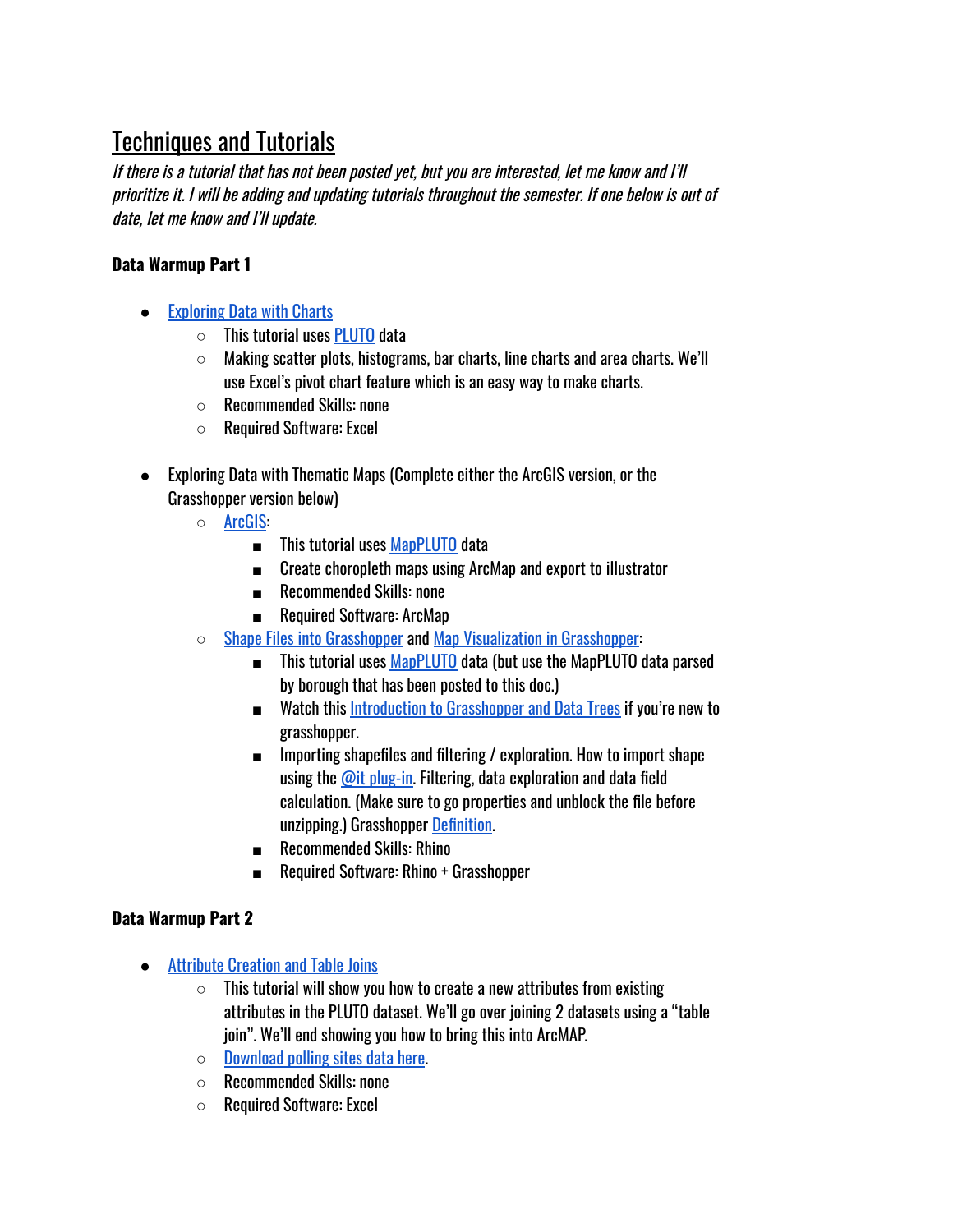# <span id="page-7-0"></span>Techniques and Tutorials

If there is <sup>a</sup> tutorial that has not been posted yet, but you are interested, let me know and I'll prioritize it. I will be adding and updating tutorials throughout the semester. If one below is out of date, let me know and I'll update.

#### **Data Warmup Part 1**

- [Exploring](https://youtu.be/2nlDNFonaY8) Data with Charts
	- $\circ$  This tutorial uses [PLUTO](https://www1.nyc.gov/site/planning/data-maps/open-data/dwn-pluto-mappluto.page#mappluto) data
	- Making scatter plots, histograms, bar charts, line charts and area charts. We'll use Excel's pivot chart feature which is an easy way to make charts.
	- Recommended Skills: none
	- Required Software: Excel
- Exploring Data with Thematic Maps (Complete either the ArcGIS version, or the Grasshopper version below)
	- [ArcGIS](https://youtu.be/0aNjppwiHx4):
		- This tutorial uses [MapPLUTO](https://www1.nyc.gov/site/planning/data-maps/open-data/dwn-pluto-mappluto.page#mappluto) data
		- Create choropleth maps using ArcMap and export to illustrator
		- Recommended Skills: none
		- Required Software: ArcMap
	- Shape Files into [Grasshopper](https://www.youtube.com/watch?v=xGgWszGDhYU&feature=youtu.be) and Map [Visualization](https://youtu.be/ctw3wChtQRE) in Grasshopper:
		- This tutorial uses [MapPLUTO](https://www1.nyc.gov/site/planning/data-maps/open-data/dwn-pluto-mappluto.page#mappluto) data (but use the MapPLUTO data parsed by borough that has been posted to this doc.)
		- Watch this Introduction to [Grasshopper](https://youtu.be/FoUzYpMlHGw) and Data Trees if you're new to grasshopper.
		- Importing shapefiles and filtering / exploration. How to import shape using the @it [plug-in.](http://www.food4rhino.com/app/it) Filtering, data exploration and data field calculation. (Make sure to go properties and unblock the file before unzipping.) Grasshopper [Definition](https://drive.google.com/open?id=1vCNKzbO6OOi0REVuZBtZyXRR2zTlJBhG).
		- Recommended Skills: Rhino
		- Required Software: Rhino + Grasshopper

#### **Data Warmup Part 2**

- [Attribute Creation](https://youtu.be/E2bwI-FLKHg) and Table Joins
	- $\circ$  This tutorial will show you how to create a new attributes from existing attributes in the PLUTO dataset. We'll go over joining 2 datasets using a "table join". We'll end showing you how to bring this into ArcMAP.
	- $\circ$  [Download](https://data.cityofnewyork.us/City-Government/Voting-Poll-Sites/mifw-tguq) polling sites data here.
	- Recommended Skills: none
	- Required Software: Excel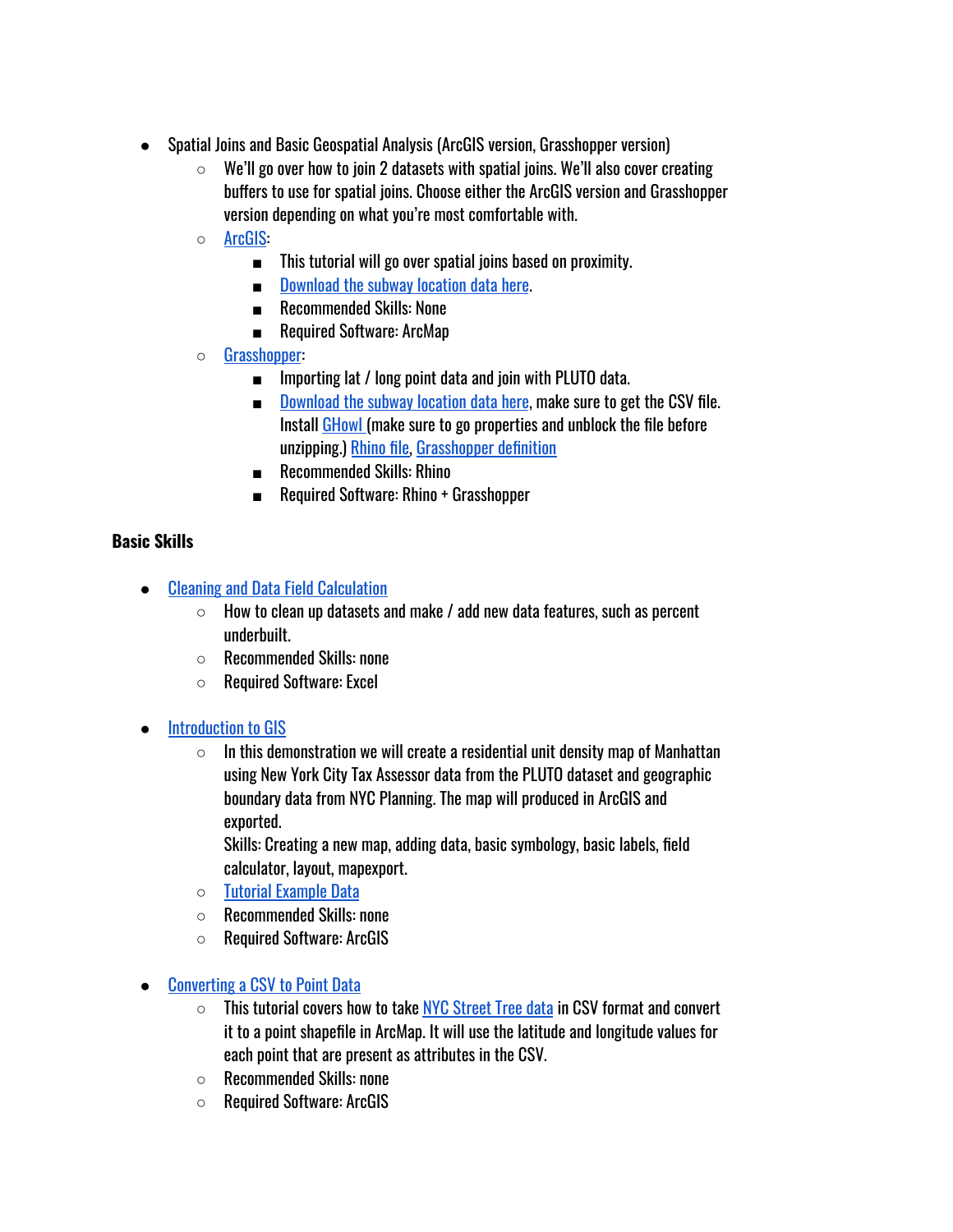- Spatial Joins and Basic Geospatial Analysis (ArcGIS version, Grasshopper version)
	- $\circ$  We'll go over how to join 2 datasets with spatial joins. We'll also cover creating buffers to use for spatial joins. Choose either the ArcGIS version and Grasshopper version depending on what you're most comfortable with.
	- [ArcGIS](https://youtu.be/ybCA0Hj7a5I):
		- This tutorial will go over spatial joins based on proximity.
		- Download [the subway](https://data.cityofnewyork.us/Transportation/Subway-Stations/arq3-7z49) location data here.
		- Recommended Skills: None
		- Required Software: ArcMap
	- [Grasshopper:](https://youtu.be/0mzYjrRz71w)
		- Importing lat / long point data and join with PLUTO data.
		- Download [the subway](https://data.cityofnewyork.us/Transportation/Subway-Stations/arq3-7z49) location data here, make sure to get the CSV file. Install [GHowl](https://www.food4rhino.com/app/ghowl) (make sure to go properties and unblock the file before unzipping.) [Rhino](https://drive.google.com/file/d/1jsk7qF3HxxWaKZ3g4aqweuBzvM1t2k-z/view?usp=sharing) file, [Grasshopper](https://drive.google.com/file/d/1ukN8WsWeM5YREJuLYwKJeMv0UMwCOwkV/view?usp=sharing) definition
		- Recommended Skills: Rhino
		- Required Software: Rhino + Grasshopper

#### **Basic Skills**

- Cleaning and Data Field [Calculation](https://youtu.be/z4KW1wv5d6M)
	- $\circ$  How to clean up datasets and make / add new data features, such as percent underbuilt.
	- Recommended Skills: none
	- Required Software: Excel
- **[Introduction](https://drive.google.com/open?id=0B0bCCnLi8TBfal9kN3ozRE44OFU) to GIS** 
	- $\circ$  In this demonstration we will create a residential unit density map of Manhattan using New York City Tax Assessor data from the PLUTO dataset and geographic boundary data from NYC Planning. The map will produced in ArcGIS and exported.

Skills: Creating a new map, adding data, basic symbology, basic labels, field calculator, layout, mapexport.

- Tutorial [Example Data](https://drive.google.com/open?id=0B0bCCnLi8TBfdTlaa045cmlIYTg)
- Recommended Skills: none
- Required Software: ArcGIS
- [Converting](https://youtu.be/ktSXycBFE3c) a CSV to Point Data
	- $\circ$  This tutorial covers how to take NYC Street [Tree data](https://data.cityofnewyork.us/Environment/2015-Street-Tree-Census-Tree-Data/uvpi-gqnh) in CSV format and convert it to a point shapefile in ArcMap. It will use the latitude and longitude values for each point that are present as attributes in the CSV.
	- Recommended Skills: none
	- Required Software: ArcGIS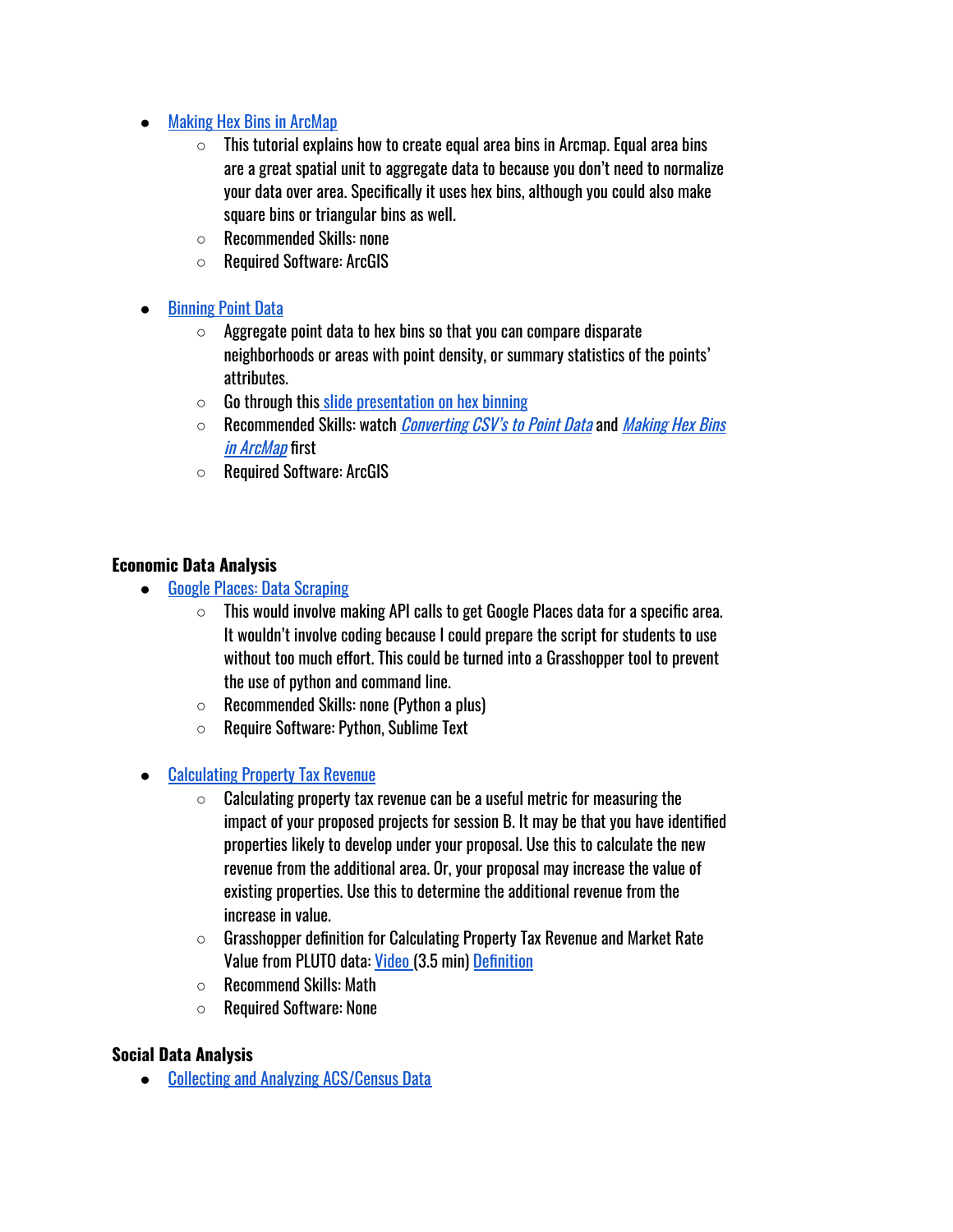#### ● Making Hex Bins in [ArcMap](https://youtu.be/KRM1qPmnRNs)

- $\circ$  This tutorial explains how to create equal area bins in Arcmap. Equal area bins are a great spatial unit to aggregate data to because you don't need to normalize your data over area. Specifically it uses hex bins, although you could also make square bins or triangular bins as well.
- Recommended Skills: none
- Required Software: ArcGIS

#### **[Binning](https://youtu.be/7-4BsPgPiBk) Point Data**

- $\circ$  Aggregate point data to hex bins so that you can compare disparate neighborhoods or areas with point density, or summary statistics of the points' attributes.
- $\circ$  Go through this [slide presentation](https://docs.google.com/presentation/d/1kWEcpTZtWpRjfW2h0YLZA3A6gSnk9XYfD0SZ2LXLez4/edit?usp=sharing) on hex binning
- Recommended Skills: watch *[Converting](https://youtu.be/ktSXycBFE3c) CSV's to Point Data* and *[Making](https://youtu.be/KRM1qPmnRNs) Hex Bins* in [ArcMap](https://youtu.be/KRM1qPmnRNs) first
- Required Software: ArcGIS

#### **Economic Data Analysis**

- [Google Places:](https://docs.google.com/document/d/1_zqnZo4Qs3d6pWJAxU_4vId-ap8ZZ8iu9CMhdatwXNc/edit?usp=sharing) Data Scraping
	- $\circ$  This would involve making API calls to get Google Places data for a specific area. It wouldn't involve coding because I could prepare the script for students to use without too much effort. This could be turned into a Grasshopper tool to prevent the use of python and command line.
	- Recommended Skills: none (Python a plus)
	- Require Software: Python, Sublime Text
- **[Calculating](https://docs.google.com/document/d/1Flqhlf8e8n5BRUbbqtxW3S_xZ0ghVtSsed4hx_Ertg0/edit?usp=sharing) Property Tax Revenue** 
	- $\circ$  Calculating property tax revenue can be a useful metric for measuring the impact of your proposed projects for session B. It may be that you have identified properties likely to develop under your proposal. Use this to calculate the new revenue from the additional area. Or, your proposal may increase the value of existing properties. Use this to determine the additional revenue from the increase in value.
	- $\circ$  Grasshopper definition for Calculating Property Tax Revenue and Market Rate Value from PLUTO data: [Video \(](https://youtu.be/6PqUitv6qpw)3.5 min) [Definition](https://drive.google.com/file/d/0B_9V1tzNWm_fQXc1RTJSMGtrZU0/view?usp=sharing)
	- $\circ$  Recommend Skills: Math
	- Required Software: None

#### **Social Data Analysis**

● Collecting and Analyzing [ACS/Census](https://youtu.be/zAirLGxBu1o) Data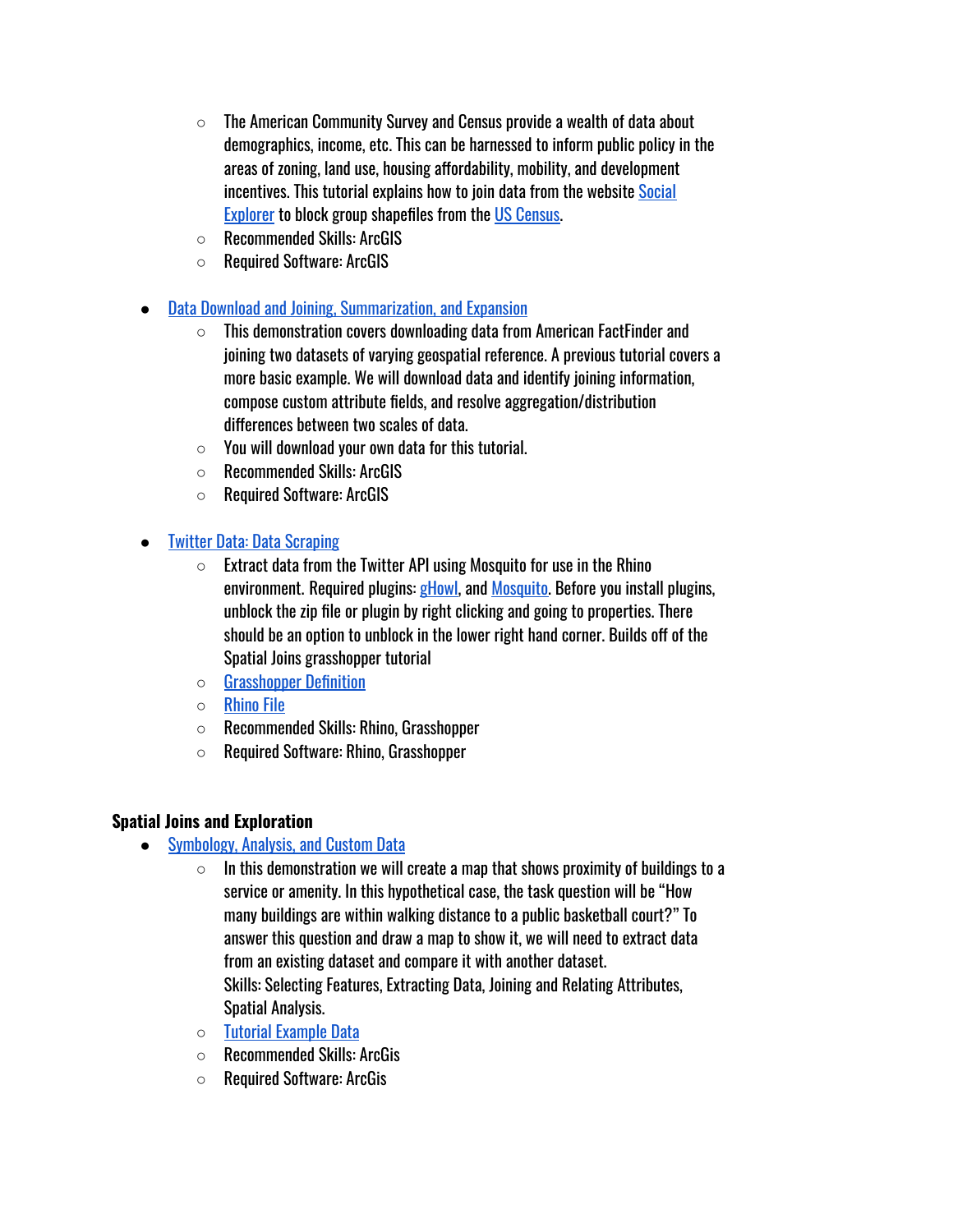- $\circ$  The American Community Survey and Census provide a wealth of data about demographics, income, etc. This can be harnessed to inform public policy in the areas of zoning, land use, housing affordability, mobility, and development incentives. This tutorial explains how to join data from the website [Social](https://blogs.cul.columbia.edu/journalism/2009/09/database-spotlight-social-explorer/) [Explorer](https://blogs.cul.columbia.edu/journalism/2009/09/database-spotlight-social-explorer/) to block group shapefiles from the US [Census.](https://www.census.gov/geo/maps-data/data/cbf/cbf_blkgrp.html)
- Recommended Skills: ArcGIS
- Required Software: ArcGIS
- Data Download and Joining, [Summarization,](https://drive.google.com/open?id=0B0bCCnLi8TBfU09XWFRYdjFBemM) and Expansion
	- $\circ$  This demonstration covers downloading data from American FactFinder and joining two datasets of varying geospatial reference. A previous tutorial covers a more basic example. We will download data and identify joining information, compose custom attribute fields, and resolve aggregation/distribution differences between two scales of data.
	- $\circ$  You will download vour own data for this tutorial.
	- Recommended Skills: ArcGIS
	- Required Software: ArcGIS
- **Twitter Data: Data [Scraping](https://youtu.be/jqH3Idv3wDc)** 
	- $\circ$  Extract data from the Twitter API using Mosquito for use in the Rhino environment. Required plugins: [gHowl,](https://www.food4rhino.com/app/ghowl) and [Mosquito](https://www.food4rhino.com/app/mosquito-media-4-grasshopper). Before you install plugins, unblock the zip file or plugin by right clicking and going to properties. There should be an option to unblock in the lower right hand corner. Builds off of the Spatial Joins grasshopper tutorial
	- [Grasshopper](https://drive.google.com/file/d/1LQu0LaT1tSb1YAMNra9LvsOkiXSNQZhz/view?usp=sharing) Definition
	- [Rhino](https://drive.google.com/file/d/1L8eMafk8FlxmbA91pKXESZTZV011xFVx/view?usp=sharing) File
	- Recommended Skills: Rhino, Grasshopper
	- Required Software: Rhino, Grasshopper

#### **Spatial Joins and Exploration**

- [Symbology,](https://drive.google.com/open?id=0B0bCCnLi8TBfZnFISkxhQWQxdDA) Analysis, and Custom Data
	- In this demonstration we will create a map that shows proximity of buildings to a service or amenity. In this hypothetical case, the task question will be "How many buildings are within walking distance to a public basketball court?" To answer this question and draw a map to show it, we will need to extract data from an existing dataset and compare it with another dataset. Skills: Selecting Features, Extracting Data, Joining and Relating Attributes, Spatial Analysis.
	- Tutorial [Example Data](https://drive.google.com/open?id=0B0bCCnLi8TBfdTlaa045cmlIYTg)
	- Recommended Skills: ArcGis
	- Required Software: ArcGis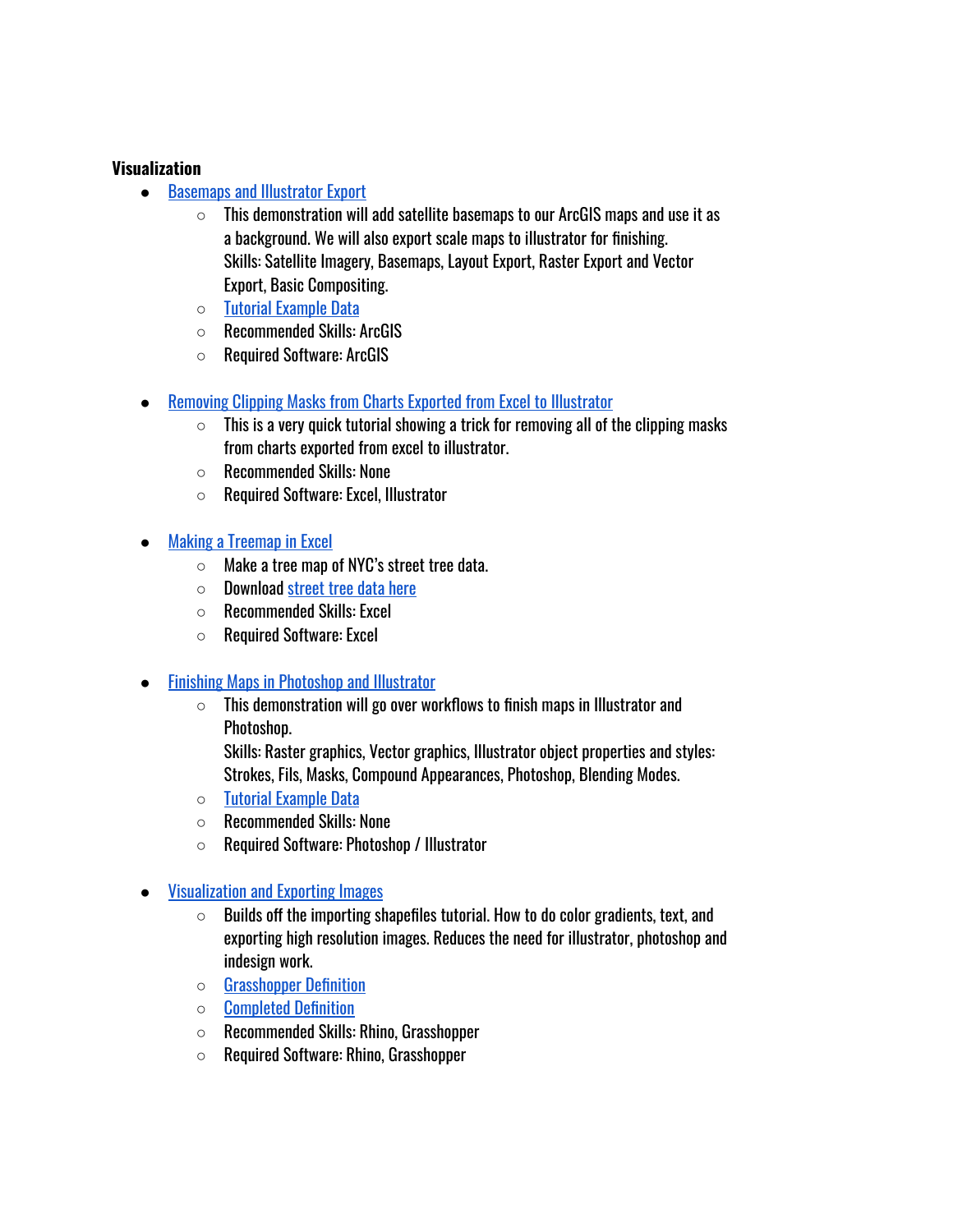#### **Visualization**

- [Basemaps](https://drive.google.com/open?id=0B0bCCnLi8TBfdnFtR1JxUkhzUDg) and Illustrator Export
	- $\circ$  This demonstration will add satellite basemaps to our ArcGIS maps and use it as a background. We will also export scale maps to illustrator for finishing. Skills: Satellite Imagery, Basemaps, Layout Export, Raster Export and Vector Export, Basic Compositing.
	- Tutorial [Example Data](https://drive.google.com/open?id=0B0bCCnLi8TBfdTlaa045cmlIYTg)
	- Recommended Skills: ArcGIS
	- Required Software: ArcGIS
- **Removing Clipping Masks from Charts Exported from Excel to [Illustrator](https://youtu.be/imVyUT90etk)** 
	- $\circ$  This is a very quick tutorial showing a trick for removing all of the clipping masks from charts exported from excel to illustrator.
	- Recommended Skills: None
	- Required Software: Excel, Illustrator
- **Making a [Treemap](https://youtu.be/3oRyXD_7QXQ) in Excel** 
	- Make a tree map of NYC's street tree data.
	- $\circ$  Download street [tree data](https://data.cityofnewyork.us/Environment/2015-Street-Tree-Census-Tree-Data/pi5s-9p35) here
	- Recommended Skills: Excel
	- Required Software: Excel
- **Finishing Maps in [Photoshop](https://drive.google.com/open?id=0B0bCCnLi8TBfdndZTE85OV9LY00) and Illustrator** 
	- $\circ$  This demonstration will go over workflows to finish maps in Illustrator and Photoshop.

Skills: Raster graphics, Vector graphics, Illustrator object properties and styles: Strokes, Fils, Masks, Compound Appearances, Photoshop, Blending Modes.

- Tutorial [Example Data](https://drive.google.com/open?id=0B0bCCnLi8TBfdTlaa045cmlIYTg)
- Recommended Skills: None
- Required Software: Photoshop / Illustrator
- **[Visualization](https://youtu.be/KxIxpcJBN5c) and Exporting Images** 
	- $\circ$  Builds off the importing shapefiles tutorial. How to do color gradients, text, and exporting high resolution images. Reduces the need for illustrator, photoshop and indesign work.
	- [Grasshopper](https://drive.google.com/open?id=0B94350sYN6P1RW9lcE9lM0M1ZUU) Definition
	- [Completed](https://drive.google.com/open?id=0B94350sYN6P1X01VZDVWUDlPZTg) Definition
	- Recommended Skills: Rhino, Grasshopper
	- Required Software: Rhino, Grasshopper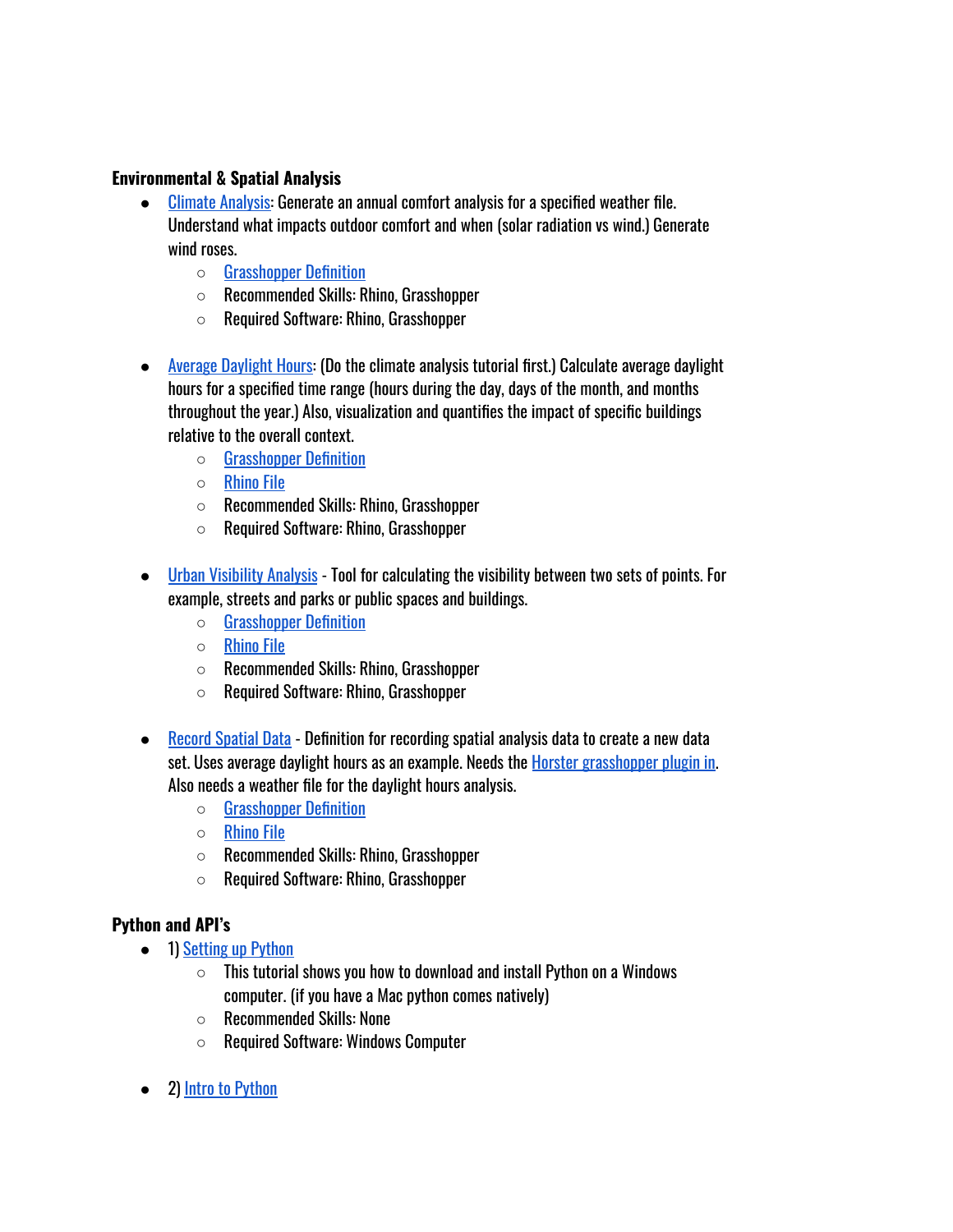#### **Environmental & Spatial Analysis**

- [Climate Analysis:](https://youtu.be/vgHViXqCL4g) Generate an annual comfort analysis for a specified weather file. Understand what impacts outdoor comfort and when (solar radiation vs wind.) Generate wind roses.
	- [Grasshopper](https://drive.google.com/file/d/1NUWf429wDupWS2Y0lOOPg60MOrzasjVg/view?usp=sharing) Definition
	- Recommended Skills: Rhino, Grasshopper
	- Required Software: Rhino, Grasshopper
- [Average Daylight](https://youtu.be/CzyAreAzNzA) Hours: (Do the climate analysis tutorial first.) Calculate average daylight hours for a specified time range (hours during the day, days of the month, and months throughout the year.) Also, visualization and quantifies the impact of specific buildings relative to the overall context.
	- [Grasshopper](https://drive.google.com/file/d/1dz78x76EDUTpQ0WdzWuF55kQ5O7Q5KXt/view?usp=sharing) Definition
	- [Rhino](https://drive.google.com/file/d/1I0O7lAXr3_b8iGse7C3u_VL0mj05vY8_/view?usp=sharing) File
	- Recommended Skills: Rhino, Grasshopper
	- Required Software: Rhino, Grasshopper
- Urban [Visibility](https://youtu.be/jPmr9kP9fZc) Analysis Tool for calculating the visibility between two sets of points. For example, streets and parks or public spaces and buildings.
	- [Grasshopper](https://drive.google.com/file/d/1TsZoOLxmJy_qDRuBbDqH-7TMDFoeoywG/view?usp=sharing) Definition
	- [Rhino](https://drive.google.com/file/d/12AdimnjtbpkUuIRtZ8GVHRyVygGTfsH6/view?usp=sharing) File
	- Recommended Skills: Rhino, Grasshopper
	- Required Software: Rhino, Grasshopper
- [Record](https://youtu.be/sbohOuo8ff8) Spatial Data Definition for recording spatial analysis data to create a new data set. Uses average daylight hours as an example. Needs the Horster [grasshopper](https://www.food4rhino.com/app/horster-camera-control-grasshopper) plugin in. Also needs a weather file for the daylight hours analysis.
	- [Grasshopper](https://drive.google.com/file/d/1586oW5b5qHKQAnPOIivwU9ezgjx32WL9/view?usp=sharing) Definition
	- [Rhino](https://drive.google.com/file/d/1PO0xZBIGDl7Wm0HpC7tVNVdDQklbCi-K/view?usp=sharing) File
	- Recommended Skills: Rhino, Grasshopper
	- Required Software: Rhino, Grasshopper

#### **Python and API's**

- 1) [Setting](https://youtu.be/BV-HhtAMeJo) up Python
	- $\circ$  This tutorial shows you how to download and install Python on a Windows computer. (if you have a Mac python comes natively)
	- Recommended Skills: None
	- Required Software: Windows Computer
- 2) Intro to [Python](https://youtu.be/oSlkCY0hziI)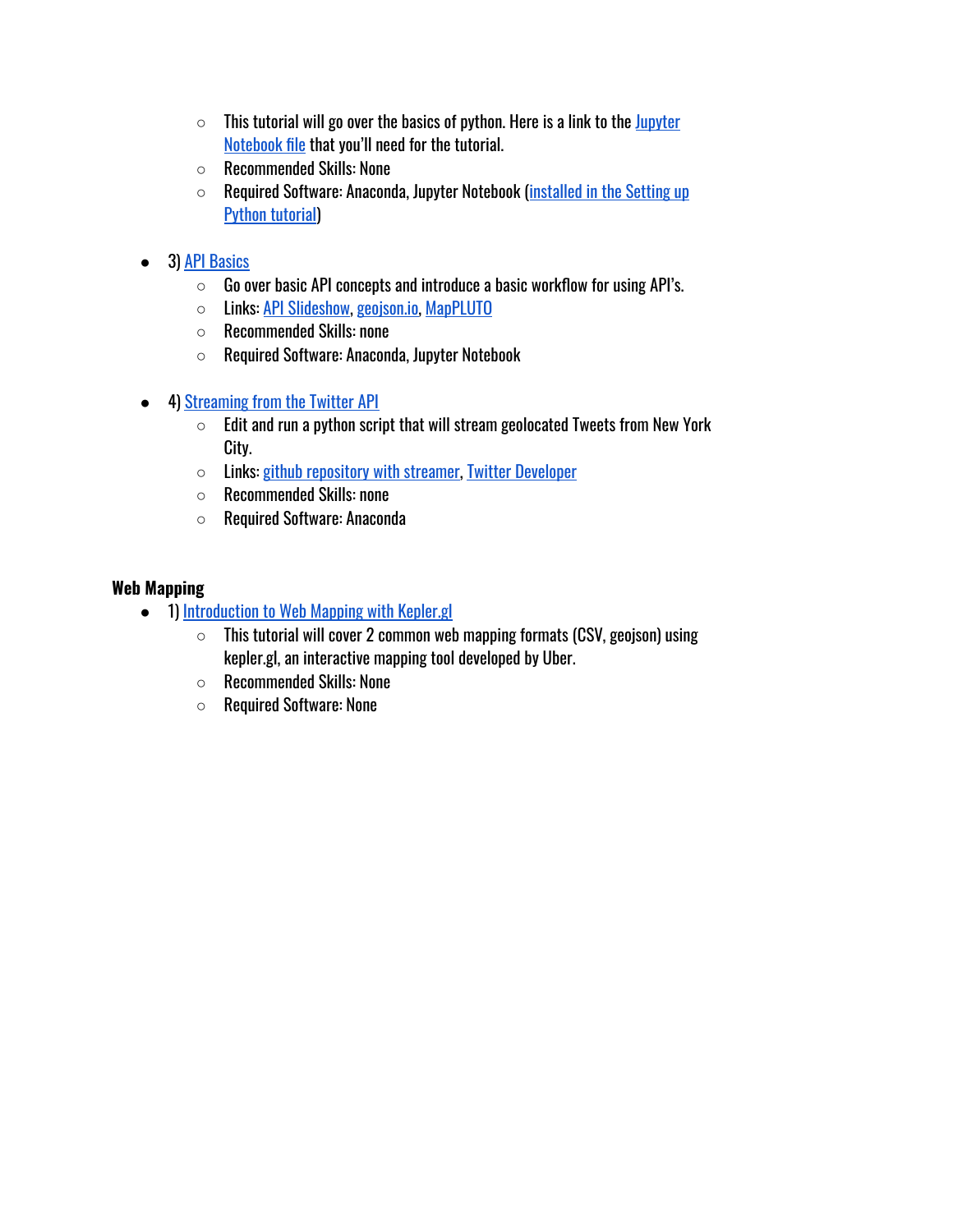- $\circ$  This tutorial will go over the basics of python. Here is a link to the [Jupyter](https://drive.google.com/open?id=104QRRmL7TCtzA6hX6blPC1F_ErG_jcXc) [Notebook](https://drive.google.com/open?id=104QRRmL7TCtzA6hX6blPC1F_ErG_jcXc) file that you'll need for the tutorial.
- Recommended Skills: None
- Required Software: Anaconda, Jupyter Notebook (installed in [the Setting](https://youtu.be/BV-HhtAMeJo) up Python [tutorial](https://youtu.be/BV-HhtAMeJo))
- 3) API [Basics](https://youtu.be/1JHGhVm4CB0)
	- $\circ$  Go over basic API concepts and introduce a basic workflow for using API's.
	- Links: API [Slideshow,](https://docs.google.com/presentation/d/17yzVQxu-QxUVSQXa31y_DFXRcJ86Xh6wLt62HtesDuA/edit?usp=sharing) [geojson.io,](http://geojson.io/) [MapPLUTO](https://www1.nyc.gov/site/planning/data-maps/open-data/dwn-pluto-mappluto.page)
	- Recommended Skills: none
	- Required Software: Anaconda, Jupyter Notebook
- 4) Streaming from [the Twitter](https://youtu.be/JuoWJtjNxeE) API
	- $\circ$  Edit and run a python script that will stream geolocated Tweets from New York City.
	- Links: github [repository](https://github.com/dcharvey/twitter_location_streamer) with streamer, Twitter [Developer](https://developer.twitter.com/content/developer-twitter/en.html)
	- Recommended Skills: none
	- Required Software: Anaconda

#### **Web Mapping**

- 1) [Introduction](https://youtu.be/tz3WRf2PHbg) to Web Mapping with Kepler.gl
	- $\circ$  This tutorial will cover 2 common web mapping formats (CSV, geojson) using kepler.gl, an interactive mapping tool developed by Uber.
	- Recommended Skills: None
	- Required Software: None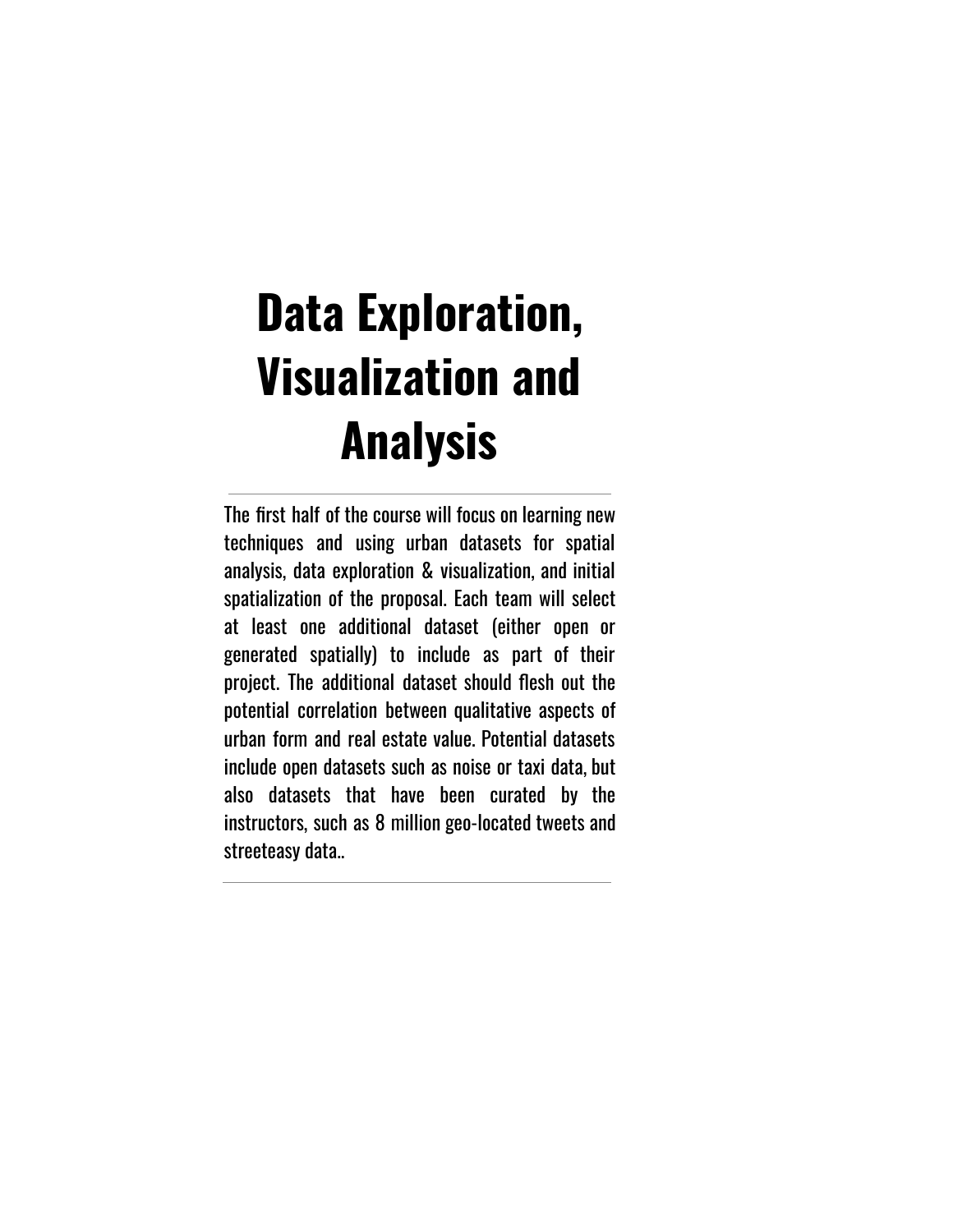# **Data Exploration, Visualization and Analysis**

The first half of the course will focus on learning new techniques and using urban datasets for spatial analysis, data exploration & visualization, and initial spatialization of the proposal. Each team will select at least one additional dataset (either open or generated spatially) to include as part of their project. The additional dataset should flesh out the potential correlation between qualitative aspects of urban form and real estate value. Potential datasets include open datasets such as noise or taxi data, but also datasets that have been curated by the instructors, such as 8 million geo-located tweets and streeteasy data..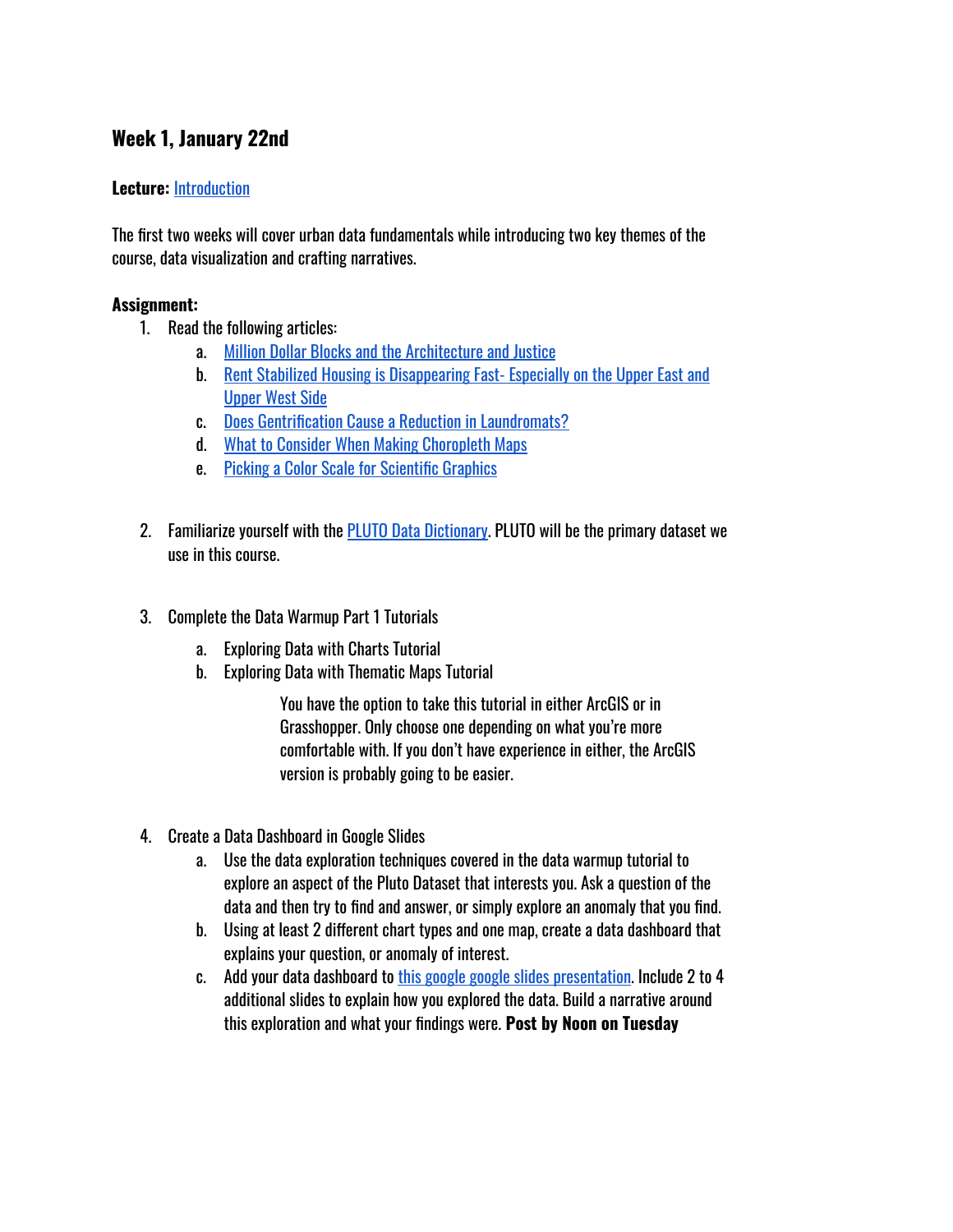# <span id="page-15-0"></span>**Week 1, January 22nd**

#### **Lecture:** [Introduction](https://docs.google.com/presentation/d/1ThswwwTG1LMUdq5hktRJRWDy6HTWuPqVsFsNjqdgucs/edit?usp=sharing)

The first two weeks will cover urban data fundamentals while introducing two key themes of the course, data visualization and crafting narratives.

#### **Assignment:**

- 1. Read the following articles:
	- a. Million Dollar Blocks and [the Architecture and](https://c4sr.columbia.edu/sites/default/files/publication_pdfs/PDF_04.pdf) Justice
	- b. Rent Stabilized Housing is [Disappearing](http://iquantny.tumblr.com/post/125485105679/rent-stabilized-housing-is-disappearing-fast) Fast- Especially on the Upper East and [Upper](http://iquantny.tumblr.com/post/125485105679/rent-stabilized-housing-is-disappearing-fast) West Side
	- c. Does Gentrification Cause a Reduction in [Laundromats?](http://iquantny.tumblr.com/post/109370229799/does-gentrification-cause-a-reduction-in)
	- d. What to Consider When Making [Choropleth](https://academy.datawrapper.de/article/134-what-to-consider-when-creating-choropleth-maps) Maps
	- e. Picking a Color Scale for [Scientific](https://betterfigures.org/2015/06/23/picking-a-colour-scale-for-scientific-graphics/) Graphics
- 2. Familiarize yourself with the PLUTO Data [Dictionary.](https://www1.nyc.gov/site/planning/data-maps/open-data/dwn-pluto-mappluto.page) PLUTO will be the primary dataset we use in this course.
- 3. Complete the Data Warmup Part 1 Tutorials
	- a. Exploring Data with Charts Tutorial
	- b. Exploring Data with Thematic Maps Tutorial

You have the option to take this tutorial in either ArcGIS or in Grasshopper. Only choose one depending on what you're more comfortable with. If you don't have experience in either, the ArcGIS version is probably going to be easier.

- 4. Create a Data Dashboard in Google Slides
	- a. Use the data exploration techniques covered in the data warmup tutorial to explore an aspect of the Pluto Dataset that interests you. Ask a question of the data and then try to find and answer, or simply explore an anomaly that you find.
	- b. Using at least 2 different chart types and one map, create a data dashboard that explains your question, or anomaly of interest.
	- c. Add your data dashboard to this [google google slides](https://docs.google.com/presentation/d/1Nw0sXCljvjo4Ui8DleiO3_N5l9rlYHaeRXBwZaVCEiY/edit?usp=sharing) presentation. Include 2 to 4 additional slides to explain how you explored the data. Build a narrative around this exploration and what your findings were. **Post by Noon on Tuesday**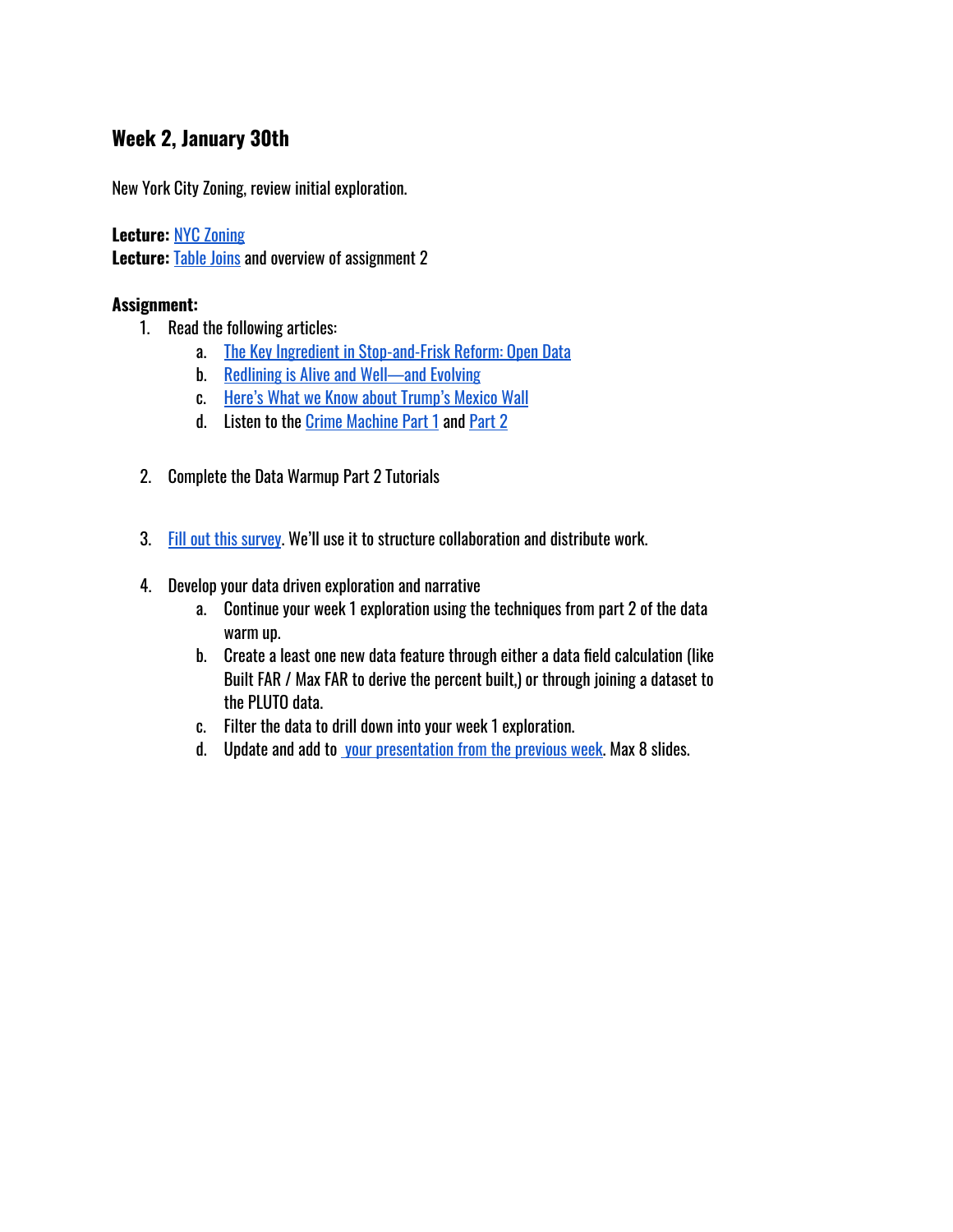#### <span id="page-16-0"></span>**Week 2, January 30th**

New York City Zoning, review initial exploration.

**Lecture:** NYC [Zoning](https://docs.google.com/presentation/d/1LKBEf4xK0XPQ_9QsAoPEFR39fDvJzdpmEm6RAwSvgBo/edit?usp=sharing) **Lecture:** [Table Joins](https://docs.google.com/presentation/d/1nP6E8JalMWl4Ld6jtfmWT7YwRj54qxS5Gcqg0RUR4Q0/edit?usp=sharing) and overview of assignment 2

#### **Assignment:**

- 1. Read the following articles:
	- a. [The Key Ingredient](http://www.citylab.com/crime/2015/08/the-missing-ingredient-in-stop-and-frisk-accountability-open-data/402026/) in Stop-and-Frisk Reform: Open Data
	- b. Redlining is Alive and [Well—and](http://www.citylab.com/housing/2015/09/redlining-is-alive-and-welland-evolving/407497/) Evolving
	- c. Here's What [we Know](https://www.bloomberg.com/graphics/trump-mexico-wall/) about Trump's Mexico Wall
	- d. Listen to the [Crime Machine Part](https://gimletmedia.com/shows/reply-all/o2hx34) 1 and [Part](https://gimletmedia.com/shows/reply-all/n8hwl7/128-the-crime-machine-part-ii#episode-player) 2
- 2. Complete the Data Warmup Part 2 Tutorials
- 3. Fill out this survey. We'll use it to structure collaboration and distribute work.
- 4. Develop your data driven exploration and narrative
	- a. Continue your week 1 exploration using the techniques from part 2 of the data warm up.
	- b. Create a least one new data feature through either a data field calculation (like Built FAR / Max FAR to derive the percent built,) or through joining a dataset to the PLUTO data.
	- c. Filter the data to drill down into your week 1 exploration.
	- d. Update and add to your [presentation](https://docs.google.com/presentation/d/1Nw0sXCljvjo4Ui8DleiO3_N5l9rlYHaeRXBwZaVCEiY/edit?usp=sharing) from the previous week. Max 8 slides.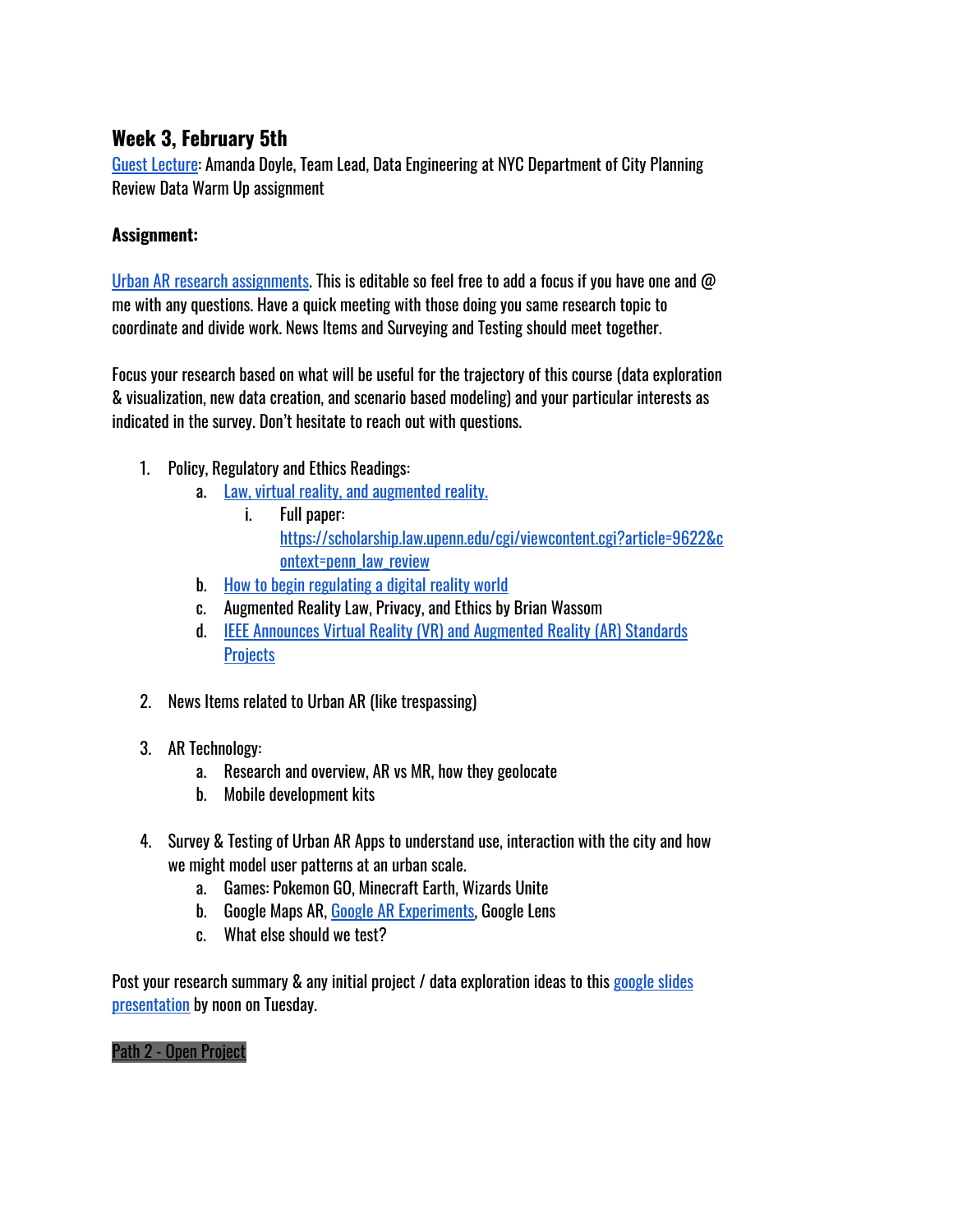# <span id="page-17-0"></span>**Week 3, February 5th**

Guest Lecture: Amanda Doyle, Team Lead, Data Engineering at NYC Department of City Planning Review Data Warm Up assignment

#### **Assignment:**

Urban AR research [assignments.](https://docs.google.com/spreadsheets/d/1JSE6nQTcQw1Qz7fFhEc22w4bnFDCwW1XvpxajIafLac/edit?usp=sharing) This is editable so feel free to add a focus if you have one and @ me with any questions. Have a quick meeting with those doing you same research topic to coordinate and divide work. News Items and Surveying and Testing should meet together.

Focus your research based on what will be useful for the trajectory of this course (data exploration & visualization, new data creation, and scenario based modeling) and your particular interests as indicated in the survey. Don't hesitate to reach out with questions.

- 1. Policy, Regulatory and Ethics Readings:
	- a. Law, virtual reality, and [augmented](https://www.washingtonpost.com/news/volokh-conspiracy/wp/2017/03/17/law-virtual-reality-and-augmented-reality/?noredirect=on) reality.
		- i. Full paper: [https://scholarship.law.upenn.edu/cgi/viewcontent.cgi?article=9622&c](https://scholarship.law.upenn.edu/cgi/viewcontent.cgi?article=9622&context=penn_law_review) [ontext=penn\\_law\\_review](https://scholarship.law.upenn.edu/cgi/viewcontent.cgi?article=9622&context=penn_law_review)
	- b. How to begin [regulating](https://www2.deloitte.com/us/en/insights/industry/public-sector/regulating-digital-reality-augmented-spaces.html) a digital reality world
	- c. Augmented Reality Law, Privacy, and Ethics by Brian Wassom
	- d. IEEE Announces Virtual Reality (VR) and [Augmented](https://standards.ieee.org/news/2017/ieee_p2408.html) Reality (AR) Standards **[Projects](https://standards.ieee.org/news/2017/ieee_p2408.html)**
- 2. News Items related to Urban AR (like trespassing)
- 3. AR Technology:
	- a. Research and overview, AR vs MR, how they geolocate
	- b. Mobile development kits
- 4. Survey & Testing of Urban AR Apps to understand use, interaction with the city and how we might model user patterns at an urban scale.
	- a. Games: Pokemon GO, Minecraft Earth, Wizards Unite
	- b. Google Maps AR, Google AR [Experiments,](https://experiments.withgoogle.com/collection/ar) Google Lens
	- c. What else should we test?

Post your research summary & any initial project / data exploration ideas to this [google slides](https://docs.google.com/presentation/d/15Sq1zYrPQjx1Xng73DgTtKliZPCG9uWQzIxug44FyDU/edit?usp=sharing) [presentation](https://docs.google.com/presentation/d/15Sq1zYrPQjx1Xng73DgTtKliZPCG9uWQzIxug44FyDU/edit?usp=sharing) by noon on Tuesday.

#### Path 2 - Open Project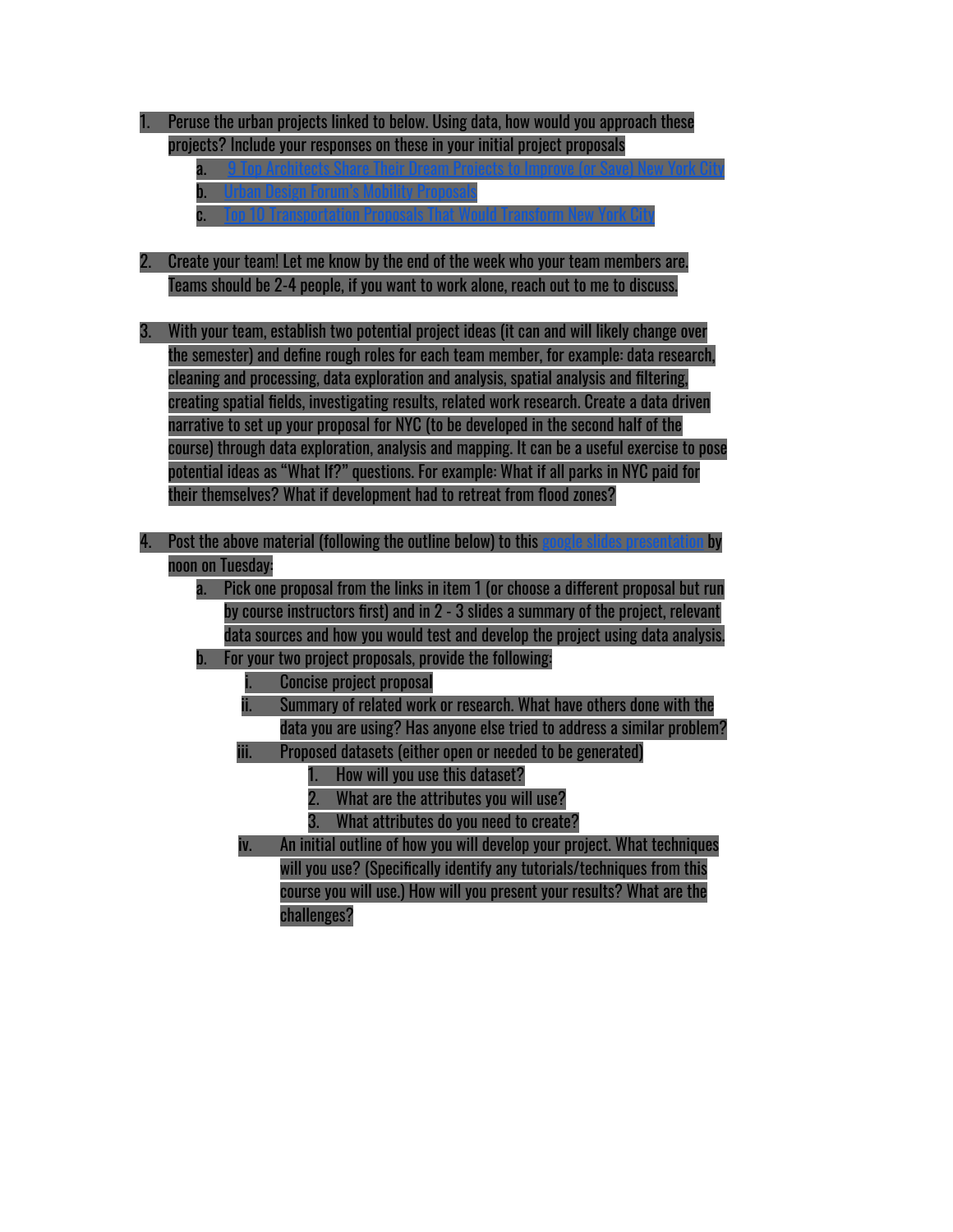| Peruse the urban projects linked to below. Using data, how would you approach these                 |
|-----------------------------------------------------------------------------------------------------|
| projects? Include your responses on these in your initial project proposals                         |
| a.                                                                                                  |
| b.                                                                                                  |
| C.                                                                                                  |
|                                                                                                     |
| Create your team! Let me know by the end of the week who your team members are.                     |
| Teams should be 2-4 people, if you want to work alone, reach out to me to discuss.                  |
|                                                                                                     |
| With your team, establish two potential project ideas (it can and will likely change over<br>3.     |
| the semester) and define rough roles for each team member, for example: data research,              |
| cleaning and processing, data exploration and analysis, spatial analysis and filtering,             |
| creating spatial fields, investigating results, related work research. Create a data driven         |
| narrative to set up your proposal for NYC (to be developed in the second half of the                |
| course) through data exploration, analysis and mapping. It can be a useful exercise to pose         |
| potential ideas as "What If?" questions. For example: What if all parks in NYC paid for             |
| their themselves? What if development had to retreat from flood zones?                              |
|                                                                                                     |
|                                                                                                     |
| Post the above material (following the outline below) to this google slid<br>by                     |
| noon on Tuesday:                                                                                    |
| Pick one proposal from the links in item 1 (or choose a different proposal but run<br>$a^{\dagger}$ |
| by course instructors first) and in 2 - 3 slides a summary of the project, relevant                 |
| data sources and how you would test and develop the project using data analysis.                    |
| For your two project proposals, provide the following:<br>b.                                        |
| <b>Concise project proposal</b><br>U                                                                |
| Summary of related work or research. What have others done with the<br>ï.                           |
| data you are using? Has anyone else tried to address a similar problem?                             |
| Proposed datasets (either open or needed to be generated)<br>iii.                                   |
| How will you use this dataset?<br>1.                                                                |
| What are the attributes you will use?<br>2.                                                         |
| What attributes do you need to create?<br>3.                                                        |
| An initial outline of how you will develop your project. What techniques<br>iv.                     |
| will you use? (Specifically identify any tutorials/techniques from this                             |

challenges?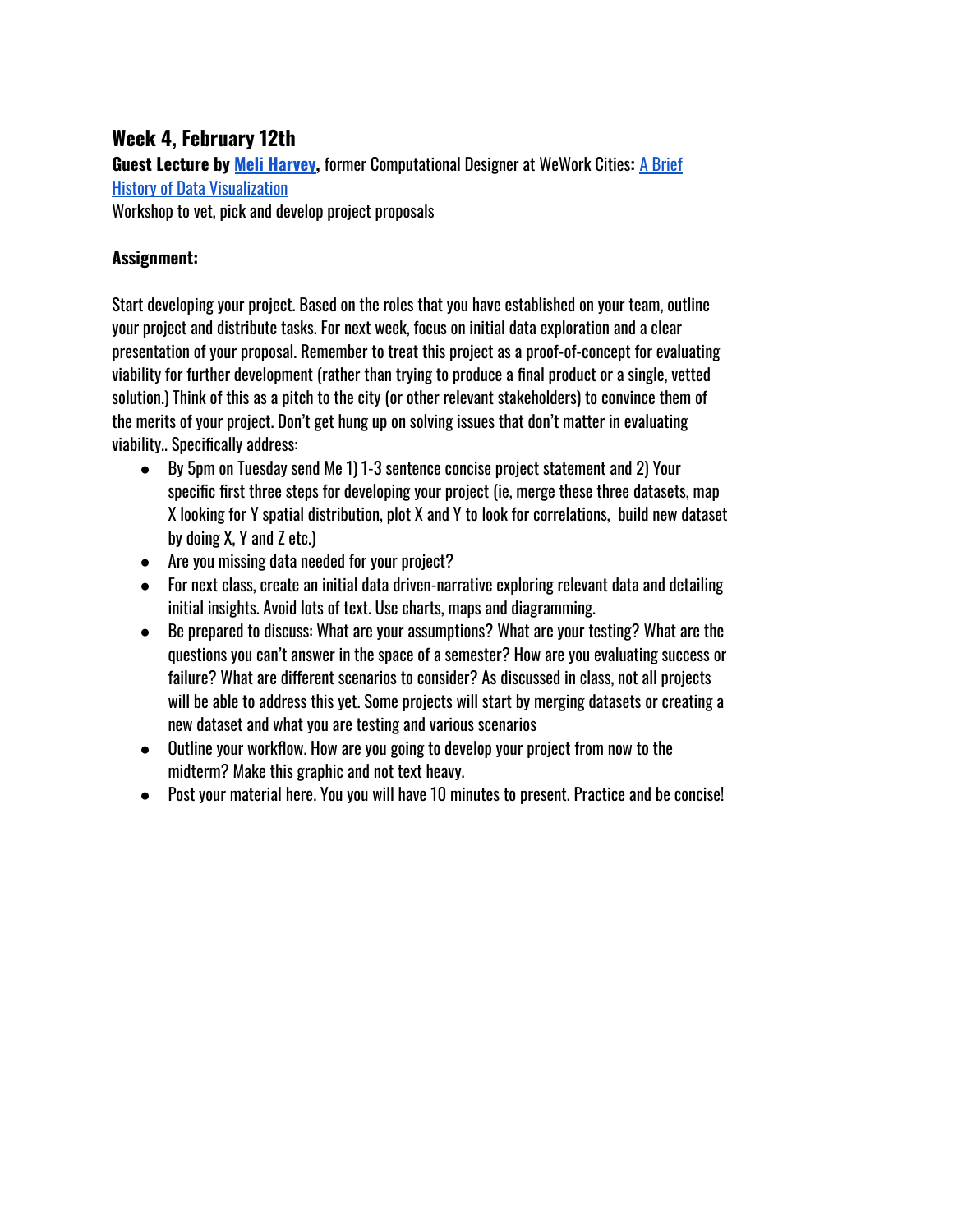# <span id="page-19-0"></span>**Week 4, February 12th**

**Guest Lecture by Meli [Harvey](http://meliharvey.com/),** former Computational Designer at WeWork Cities**:** A [Brief](https://docs.google.com/presentation/d/1I5CsWr66fjkz2L8AZdviR_T35Xubh4oYDGnEhkE18Wo/edit?usp=sharing) History of Data [Visualization](https://docs.google.com/presentation/d/1I5CsWr66fjkz2L8AZdviR_T35Xubh4oYDGnEhkE18Wo/edit?usp=sharing) Workshop to vet, pick and develop project proposals

#### **Assignment:**

Start developing your project. Based on the roles that you have established on your team, outline your project and distribute tasks. For next week, focus on initial data exploration and a clear presentation of your proposal. Remember to treat this project as a proof-of-concept for evaluating viability for further development (rather than trying to produce a final product or a single, vetted solution.) Think of this as a pitch to the city (or other relevant stakeholders) to convince them of the merits of your project. Don't get hung up on solving issues that don't matter in evaluating viability.. Specifically address:

- By 5pm on Tuesday send Me 1) 1-3 sentence concise project statement and 2) Your specific first three steps for developing your project (ie, merge these three datasets, map X looking for Y spatial distribution, plot X and Y to look for correlations, build new dataset by doing X, Y and Z etc.)
- Are you missing data needed for your project?
- For next class, create an initial data driven-narrative exploring relevant data and detailing initial insights. Avoid lots of text. Use charts, maps and diagramming.
- Be prepared to discuss: What are your assumptions? What are your testing? What are the questions you can't answer in the space of a semester? How are you evaluating success or failure? What are different scenarios to consider? As discussed in class, not all projects will be able to address this yet. Some projects will start by merging datasets or creating a new dataset and what you are testing and various scenarios
- Outline your workflow. How are you going to develop your project from now to the midterm? Make this graphic and not text heavy.
- Post your material here. You you will have 10 minutes to present. Practice and be concise!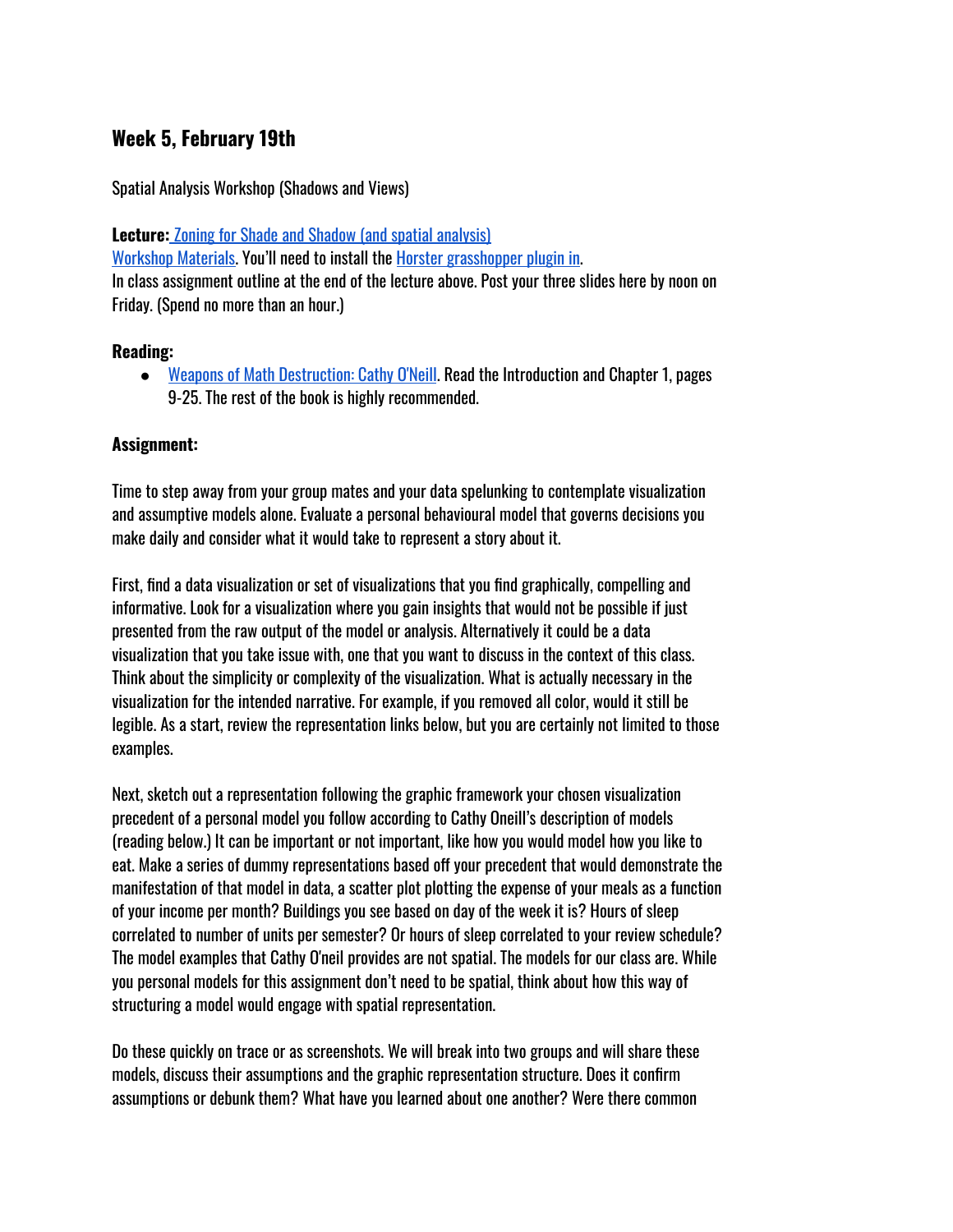#### <span id="page-20-0"></span>**Week 5, February 19th**

Spatial Analysis Workshop (Shadows and Views)

**Lecture:** [Z](https://docs.google.com/presentation/d/1AeE-lQAgjkZTUVPOq9a8LkIt8NnI4K2XZYv0LJld-z8/edit?usp=sharing)oning for [Shade and](https://docs.google.com/presentation/d/1AeE-lQAgjkZTUVPOq9a8LkIt8NnI4K2XZYv0LJld-z8/edit?usp=sharing) Shadow (and spatial analysis) [Workshop](https://drive.google.com/file/d/1lPzP2-f8t69bLZUdxlrFJPDjK7LyGVZ8/view?usp=sharing) Materials. You'll need to install the Horster [grasshopper](https://www.food4rhino.com/app/horster-camera-control-grasshopper) plugin in. In class assignment outline at the end of the lecture above. Post your three slides here by noon on Friday. (Spend no more than an hour.)

#### **Reading:**

● Weapons of Math [Destruction:](https://drive.google.com/a/columbia.edu/file/d/0B0bCCnLi8TBfWEpOZEsxTWh5TFU/view?usp=sharing) Cathy O'Neill. Read the Introduction and Chapter 1, pages 9-25. The rest of the book is highly recommended.

#### **Assignment:**

Time to step away from your group mates and your data spelunking to contemplate visualization and assumptive models alone. Evaluate a personal behavioural model that governs decisions you make daily and consider what it would take to represent a story about it.

First, find a data visualization or set of visualizations that you find graphically, compelling and informative. Look for a visualization where you gain insights that would not be possible if just presented from the raw output of the model or analysis. Alternatively it could be a data visualization that you take issue with, one that you want to discuss in the context of this class. Think about the simplicity or complexity of the visualization. What is actually necessary in the visualization for the intended narrative. For example, if you removed all color, would it still be legible. As a start, review the representation links below, but you are certainly not limited to those examples.

Next, sketch out a representation following the graphic framework your chosen visualization precedent of a personal model you follow according to Cathy Oneill's description of models (reading below.) It can be important or not important, like how you would model how you like to eat. Make a series of dummy representations based off your precedent that would demonstrate the manifestation of that model in data, a scatter plot plotting the expense of your meals as a function of your income per month? Buildings you see based on day of the week it is? Hours of sleep correlated to number of units per semester? Or hours of sleep correlated to your review schedule? The model examples that Cathy O'neil provides are not spatial. The models for our class are. While you personal models for this assignment don't need to be spatial, think about how this way of structuring a model would engage with spatial representation.

Do these quickly on trace or as screenshots. We will break into two groups and will share these models, discuss their assumptions and the graphic representation structure. Does it confirm assumptions or debunk them? What have you learned about one another? Were there common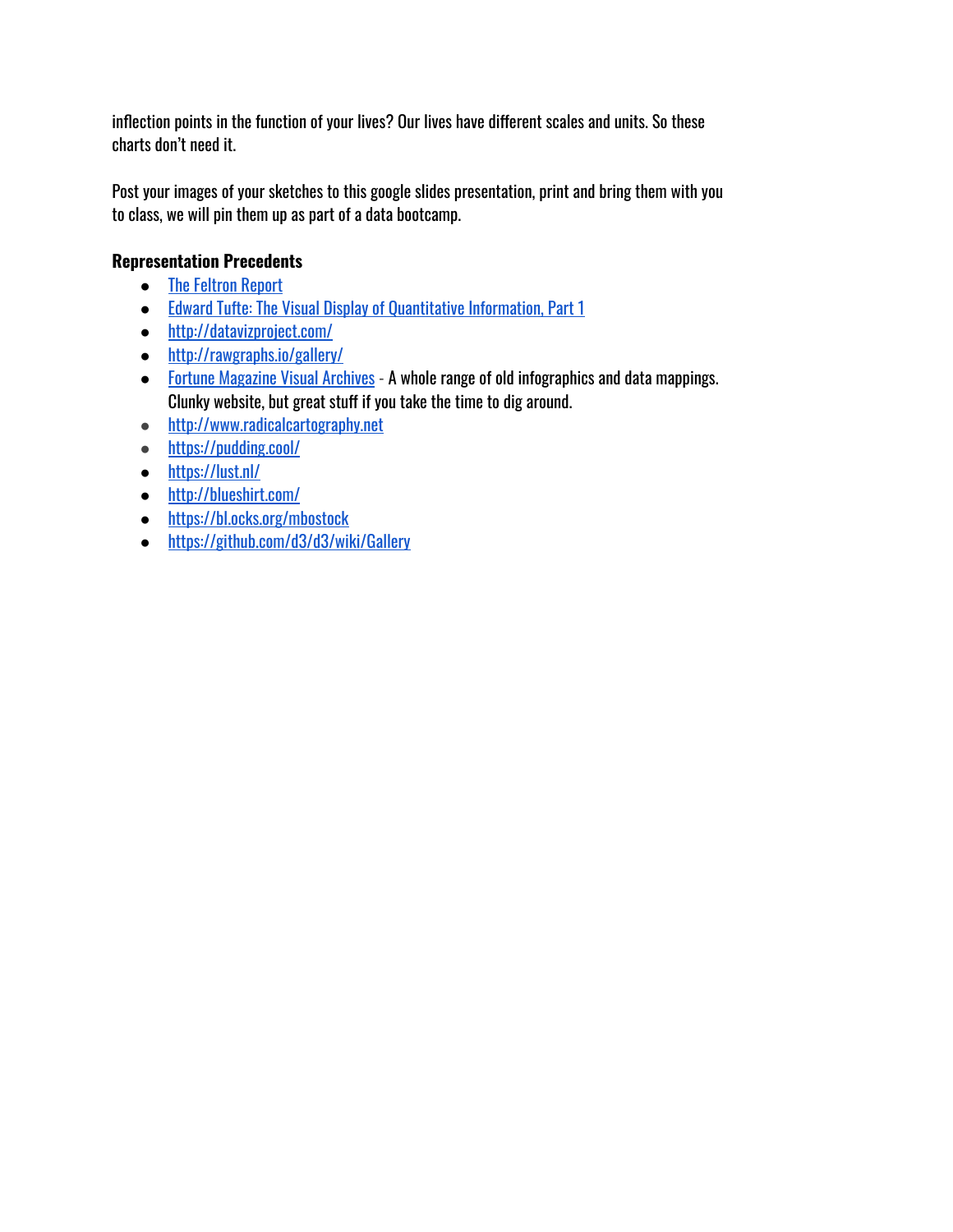inflection points in the function of your lives? Our lives have different scales and units. So these charts don't need it.

Post your images of your sketches to this google slides presentation, print and bring them with you to class, we will pin them up as part of a data bootcamp.

#### **Representation Precedents**

- [The Feltron](http://feltron.com/) Report
- Edward Tufte: The Visual Display of [Quantitative Information,](https://drive.google.com/open?id=0B0bCCnLi8TBfMWMyQl8xY0ZmV28) Part 1
- <http://datavizproject.com/>
- <http://rawgraphs.io/gallery/>
- [Fortune Magazine Visual](https://www.fulltable.com/vts/f/fortune/menub.htm) Archives A whole range of old infographics and data mappings. Clunky website, but great stuff if you take the time to dig around.
- [http://www.radicalcartography.net](http://www.radicalcartography.net/)
- <https://pudding.cool/>
- <https://lust.nl/>
- <http://blueshirt.com/>
- <https://bl.ocks.org/mbostock>
- <https://github.com/d3/d3/wiki/Gallery>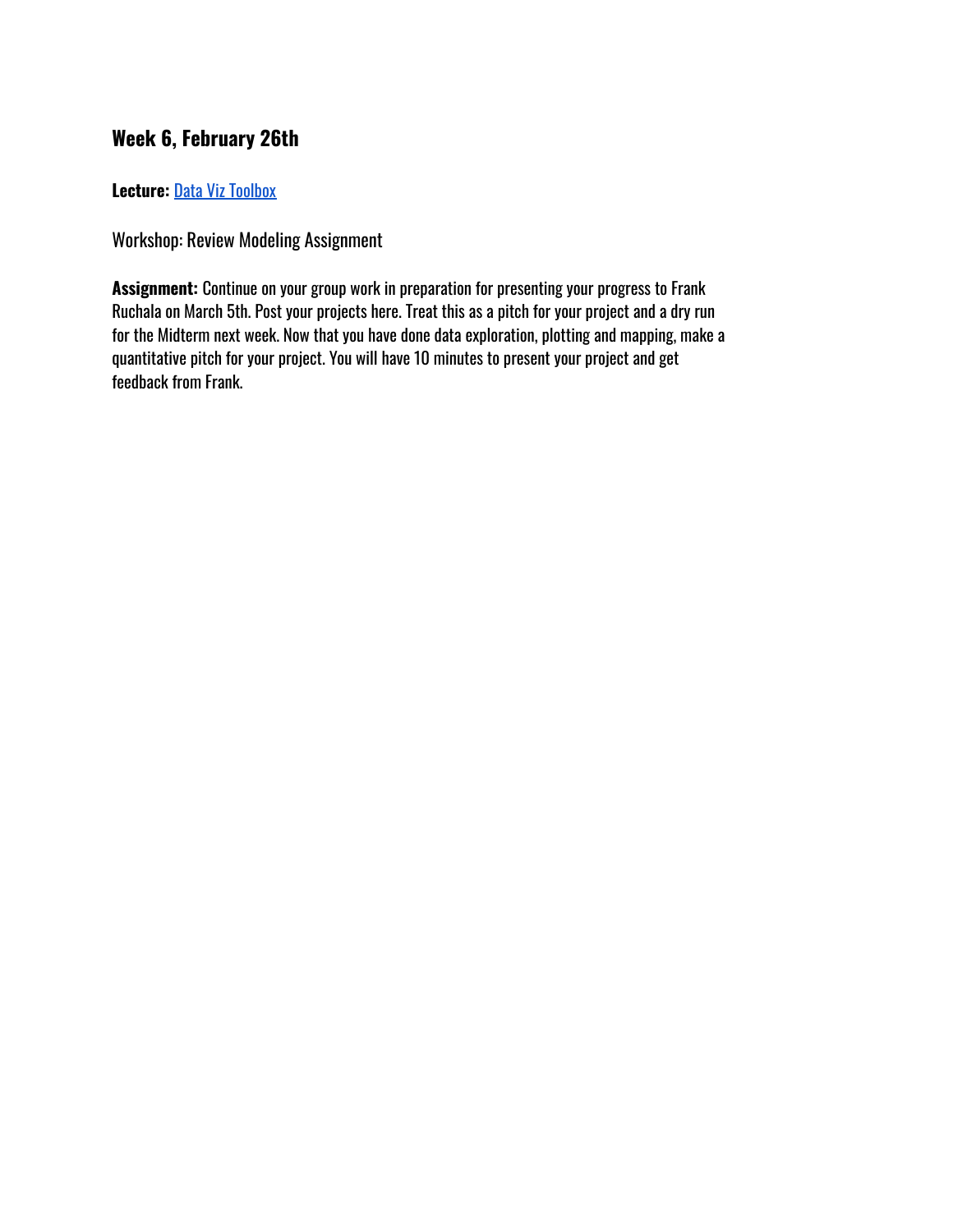# <span id="page-22-0"></span>**Week 6, February 26th**

**Lecture:** Data Viz [Toolbox](https://docs.google.com/presentation/d/1l2zfGPq0JvNMdVOhdczLD1dgiu3NyY0pV5cgOJ4pay4/edit?usp=sharing)

Workshop: Review Modeling Assignment

**Assignment:** Continue on your group work in preparation for presenting your progress to Frank Ruchala on March 5th. Post your projects here. Treat this as a pitch for your project and a dry run for the Midterm next week. Now that you have done data exploration, plotting and mapping, make a quantitative pitch for your project. You will have 10 minutes to present your project and get feedback from Frank.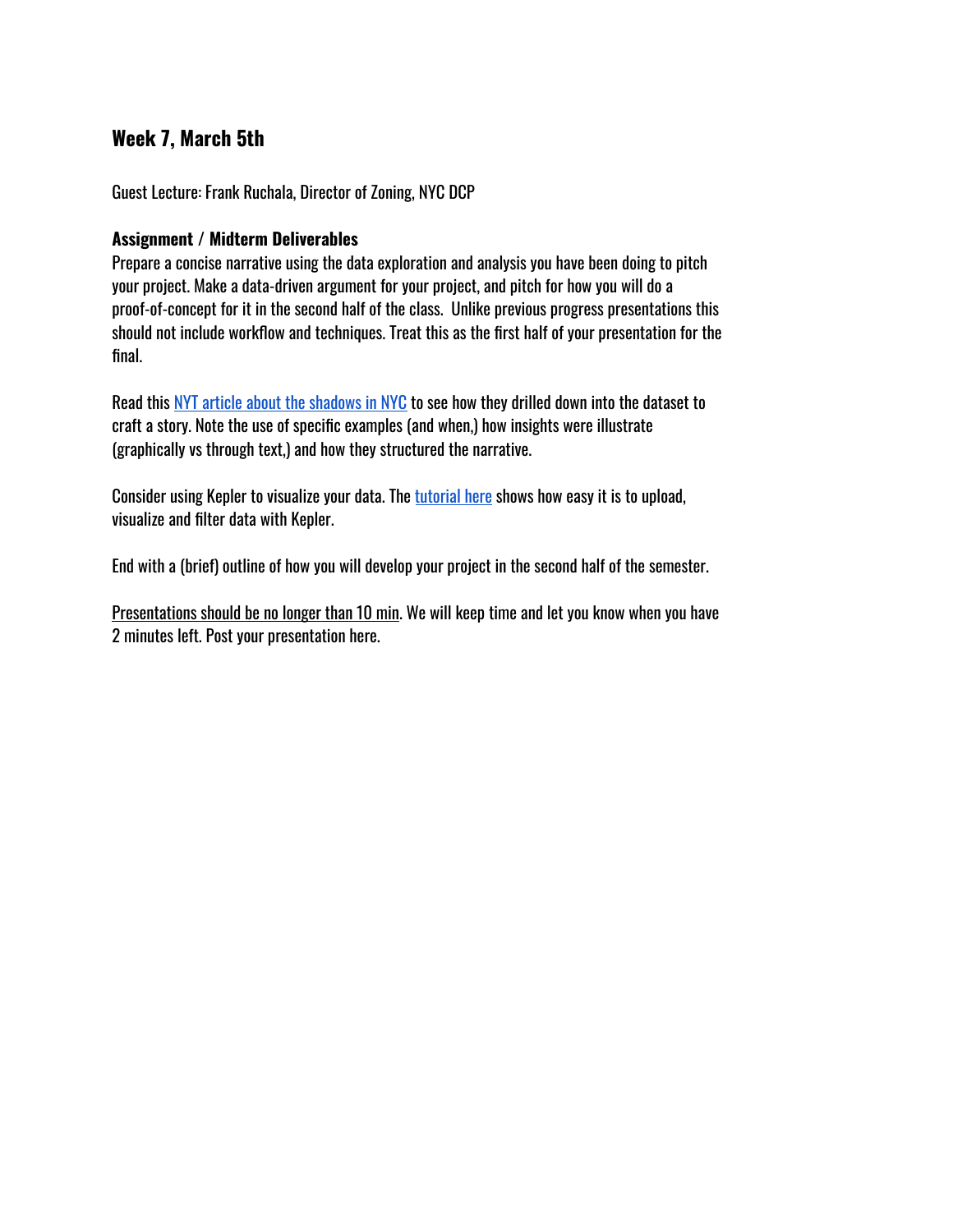#### <span id="page-23-0"></span>**Week 7, March 5th**

Guest Lecture: Frank Ruchala, Director of Zoning, NYC DCP

#### **Assignment / Midterm Deliverables**

Prepare a concise narrative using the data exploration and analysis you have been doing to pitch your project. Make a data-driven argument for your project, and pitch for how you will do a proof-of-concept for it in the second half of the class. Unlike previous progress presentations this should not include workflow and techniques. Treat this as the first half of your presentation for the final.

Read this NYT [article about](https://www.nytimes.com/interactive/2016/12/21/upshot/Mapping-the-Shadows-of-New-York-City.html) the shadows in NYC to see how they drilled down into the dataset to craft a story. Note the use of specific examples (and when,) how insights were illustrate (graphically vs through text,) and how they structured the narrative.

Consider using Kepler to visualize your data. The [tutorial](https://youtu.be/tz3WRf2PHbg) here shows how easy it is to upload, visualize and filter data with Kepler.

End with a (brief) outline of how you will develop your project in the second half of the semester.

Presentations should be no longer than 10 min. We will keep time and let you know when you have 2 minutes left. Post your presentation here.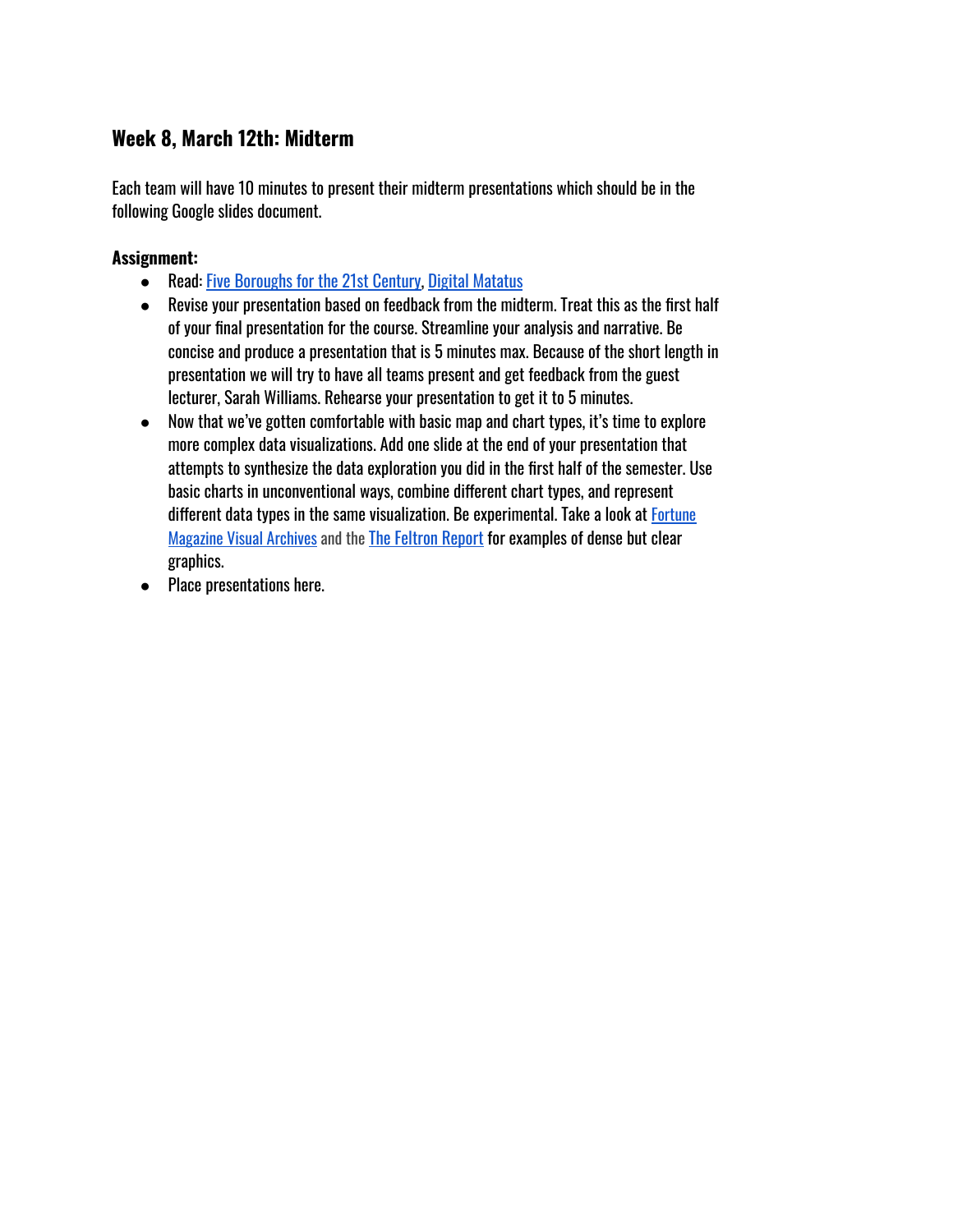#### <span id="page-24-0"></span>**Week 8, March 12th: Midterm**

Each team will have 10 minutes to present their midterm presentations which should be in the following Google slides document.

#### **Assignment:**

- Read: [Five Boroughs](https://medium.com/topos-ai/five-boroughs-for-the-21st-century-8da941f53618) for the 21st Century, Digital [Matatus](http://www.digitalmatatus.com/about.html)
- Revise your presentation based on feedback from the midterm. Treat this as the first half of your final presentation for the course. Streamline your analysis and narrative. Be concise and produce a presentation that is 5 minutes max. Because of the short length in presentation we will try to have all teams present and get feedback from the guest lecturer, Sarah Williams. Rehearse your presentation to get it to 5 minutes.
- Now that we've gotten comfortable with basic map and chart types, it's time to explore more complex data visualizations. Add one slide at the end of your presentation that attempts to synthesize the data exploration you did in the first half of the semester. Use basic charts in unconventional ways, combine different chart types, and represent different data types in the same visualization. Be experimental. Take a look at [Fortune](https://www.fulltable.com/vts/f/fortune/menub.htm) **[Magazine](https://www.fulltable.com/vts/f/fortune/menub.htm) Visual Archives and the [The Feltron](http://feltron.com/) Report for examples of dense but clear** graphics.
- Place presentations here.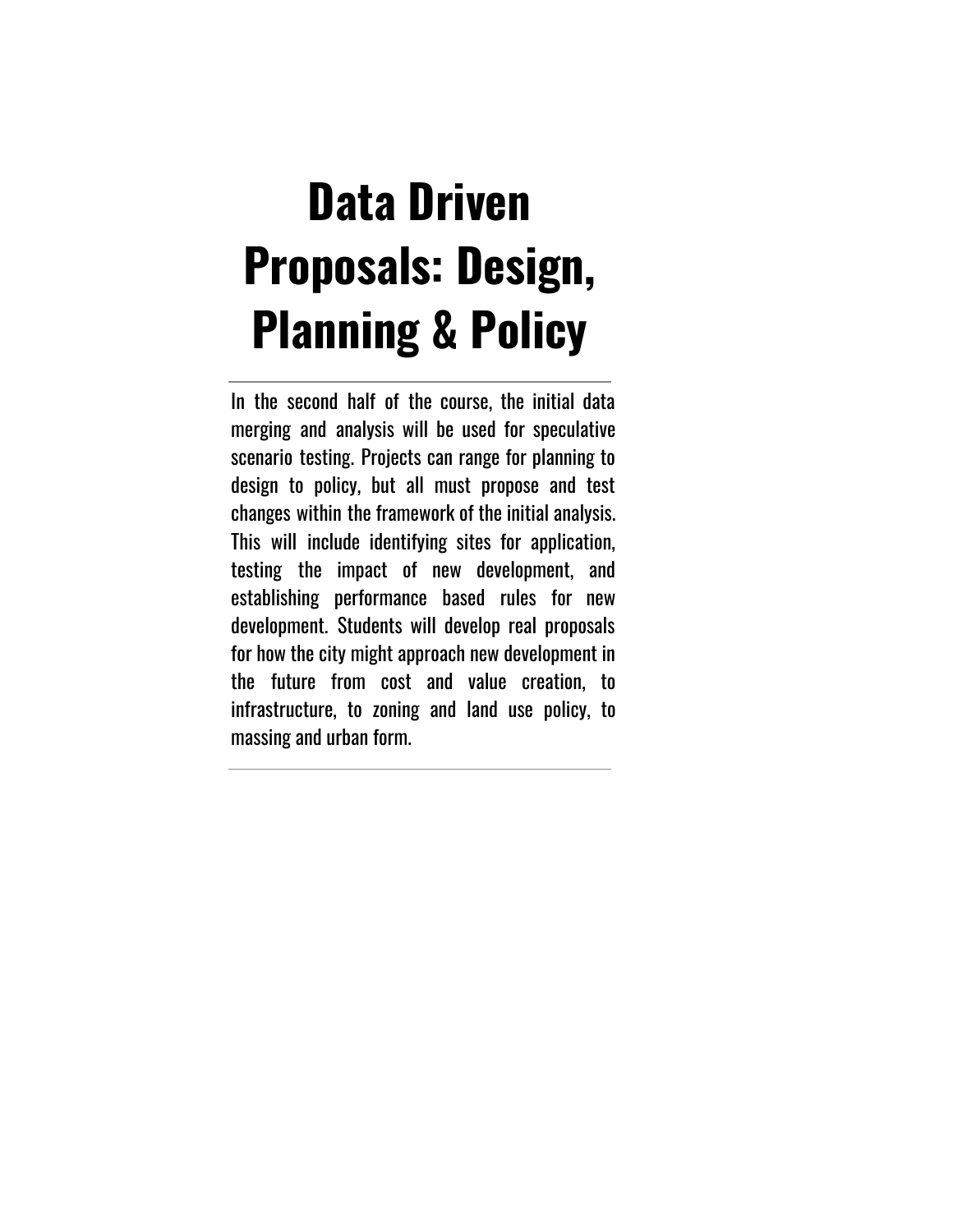# **Data Driven Proposals: Design, Planning & Policy**

In the second half of the course, the initial data merging and analysis will be used for speculative scenario testing. Projects can range for planning to design to policy, but all must propose and test changes within the framework of the initial analysis. This will include identifying sites for application, testing the impact of new development, and establishing performance based rules for new development. Students will develop real proposals for how the city might approach new development in the future from cost and value creation, to infrastructure, to zoning and land use policy, to massing and urban form.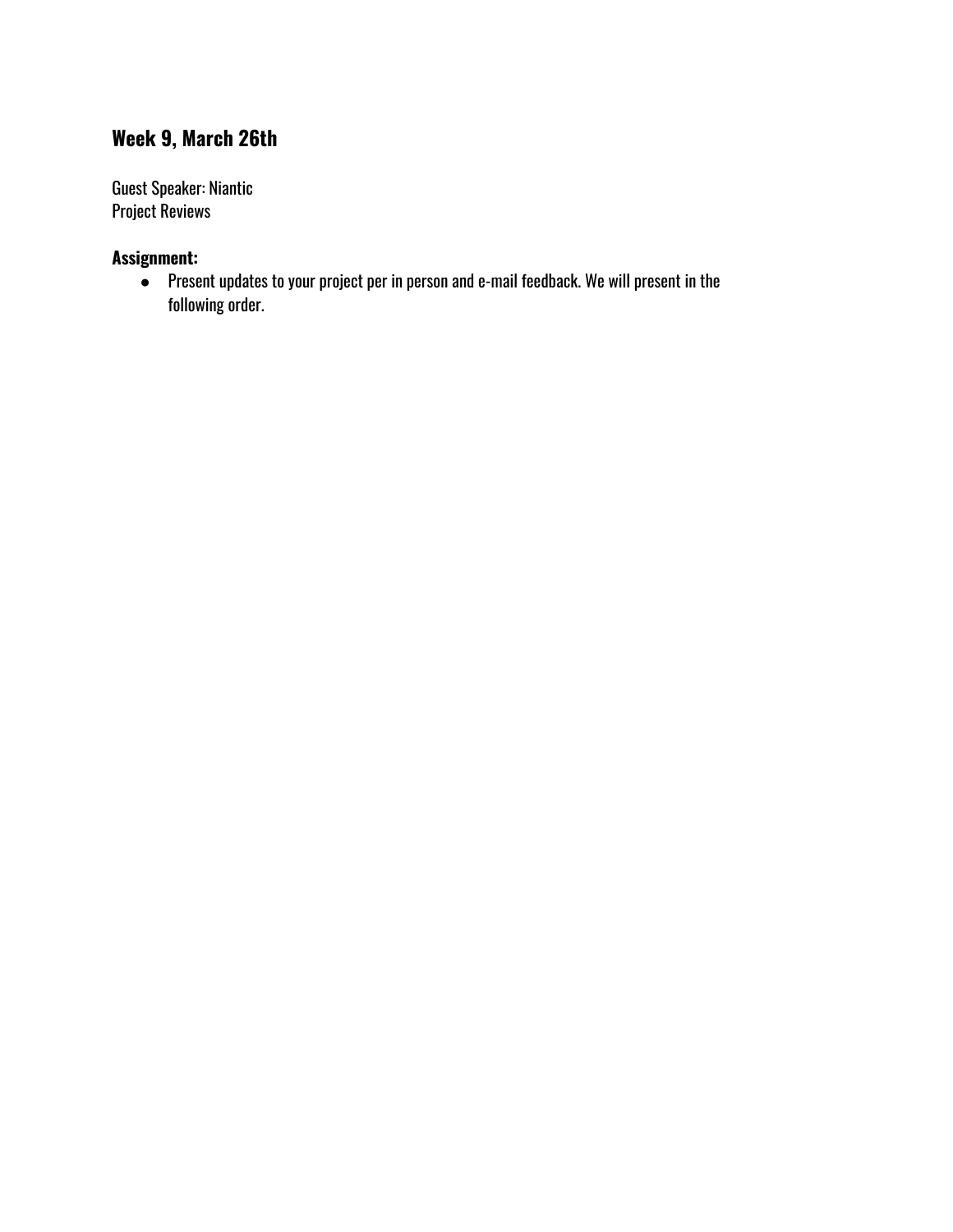# <span id="page-27-0"></span>**Week 9, March 26th**

Guest Speaker: Niantic Project Reviews

#### **Assignment:**

● Present updates to your project per in person and e-mail feedback. We will present in the following order.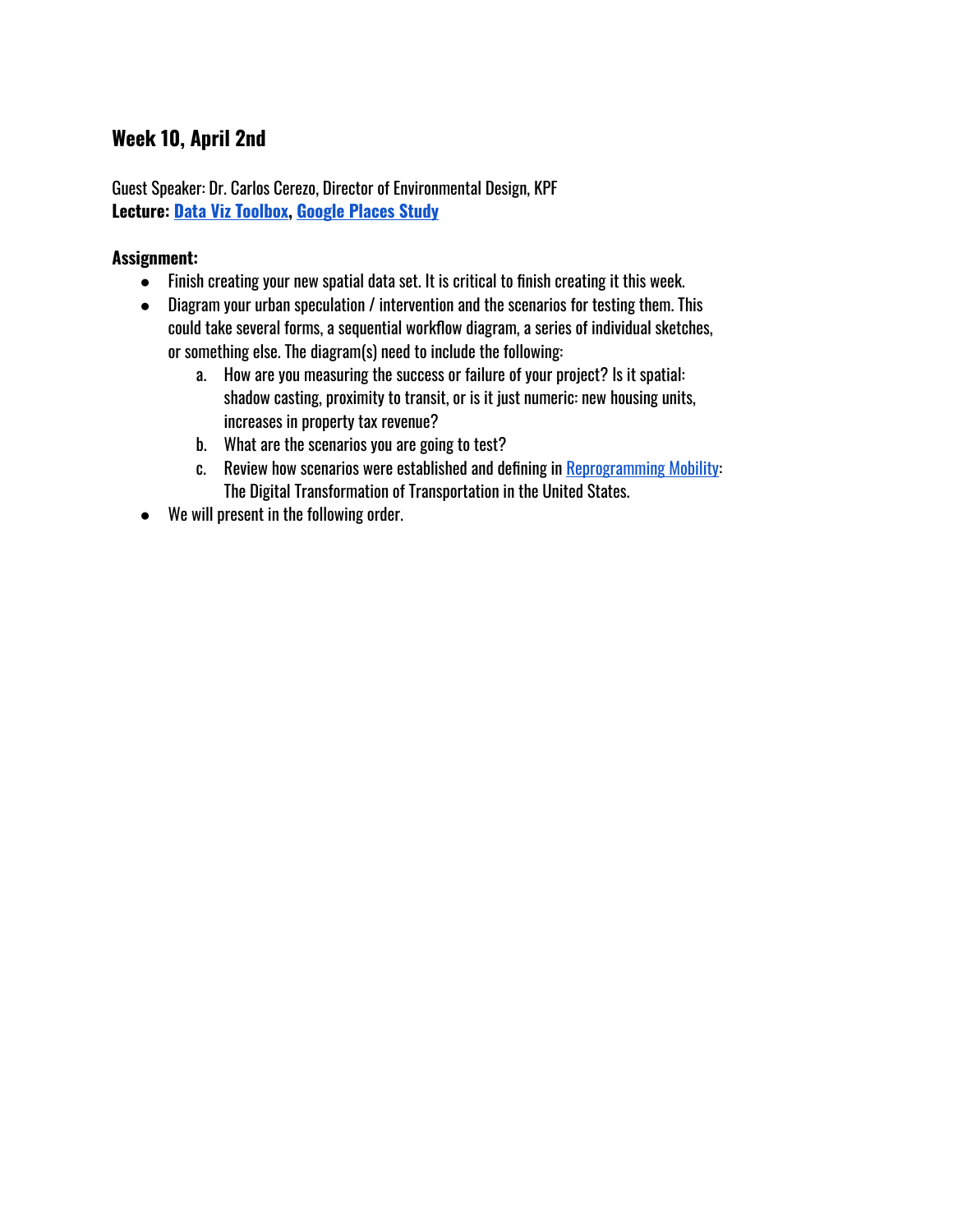# <span id="page-28-0"></span>**Week 10, April 2nd**

Guest Speaker: Dr. Carlos Cerezo, Director of Environmental Design, KPF **Lecture: Data Viz [Toolbox](https://docs.google.com/presentation/d/1l2zfGPq0JvNMdVOhdczLD1dgiu3NyY0pV5cgOJ4pay4/edit?usp=sharing), [Google](https://docs.google.com/presentation/d/1heJsLeEl5lynzocKQlUqeZZsua-bbY3x9BlJoxz-Z9s/edit?usp=sharing) Places Study**

#### **Assignment:**

- Finish creating your new spatial data set. It is critical to finish creating it this week.
- Diagram your urban speculation / intervention and the scenarios for testing them. This could take several forms, a sequential workflow diagram, a series of individual sketches, or something else. The diagram(s) need to include the following:
	- a. How are you measuring the success or failure of your project? Is it spatial: shadow casting, proximity to transit, or is it just numeric: new housing units, increases in property tax revenue?
	- b. What are the scenarios you are going to test?
	- c. Review how scenarios were established and defining in [Reprogramming](http://reprogrammingmobility.org/scenarios/) Mobility: The Digital Transformation of Transportation in the United States.
- We will present in the following order.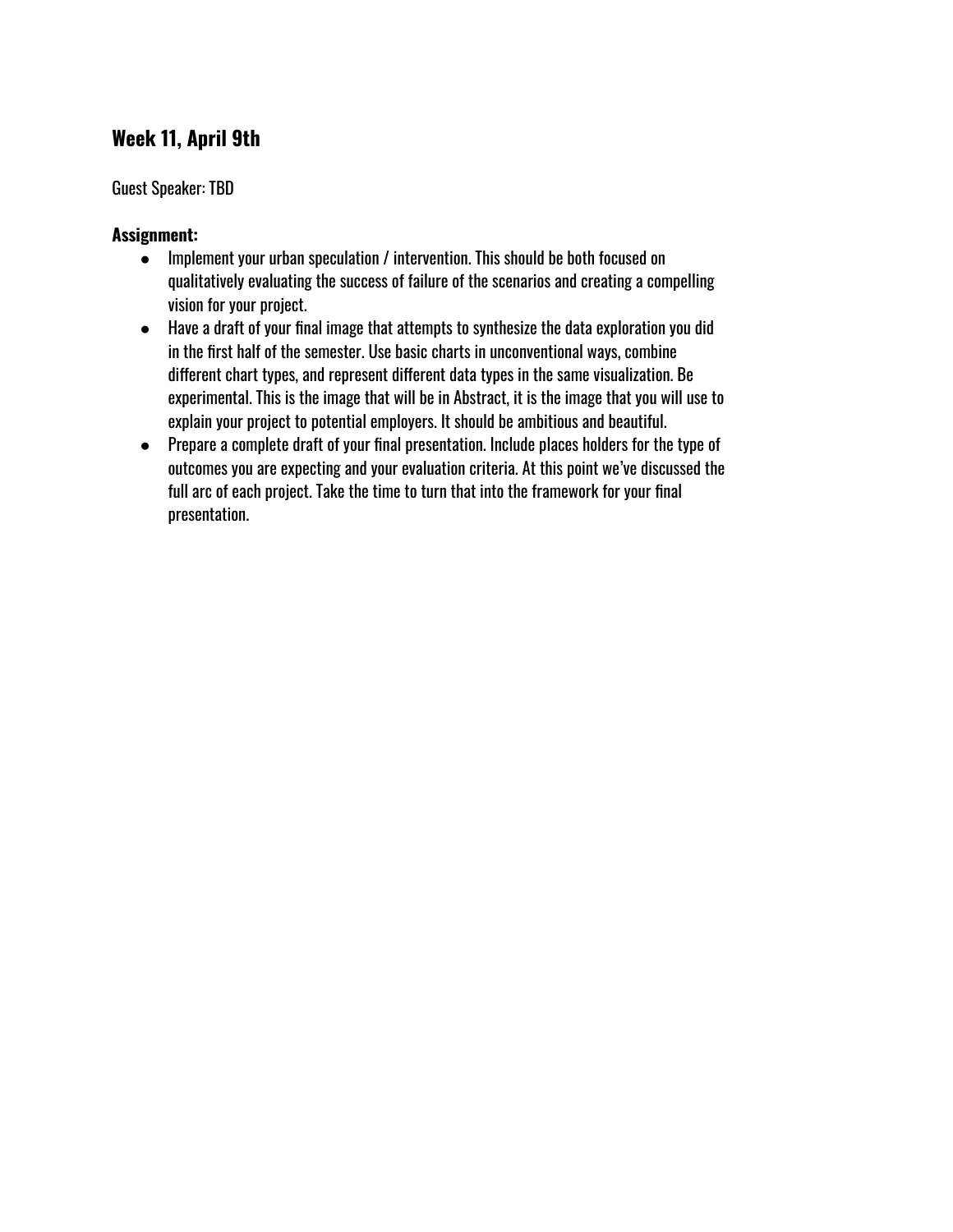# <span id="page-29-0"></span>**Week 11, April 9th**

#### Guest Speaker: TBD

#### **Assignment:**

- Implement your urban speculation / intervention. This should be both focused on qualitatively evaluating the success of failure of the scenarios and creating a compelling vision for your project.
- Have a draft of your final image that attempts to synthesize the data exploration you did in the first half of the semester. Use basic charts in unconventional ways, combine different chart types, and represent different data types in the same visualization. Be experimental. This is the image that will be in Abstract, it is the image that you will use to explain your project to potential employers. It should be ambitious and beautiful.
- Prepare a complete draft of your final presentation. Include places holders for the type of outcomes you are expecting and your evaluation criteria. At this point we've discussed the full arc of each project. Take the time to turn that into the framework for your final presentation.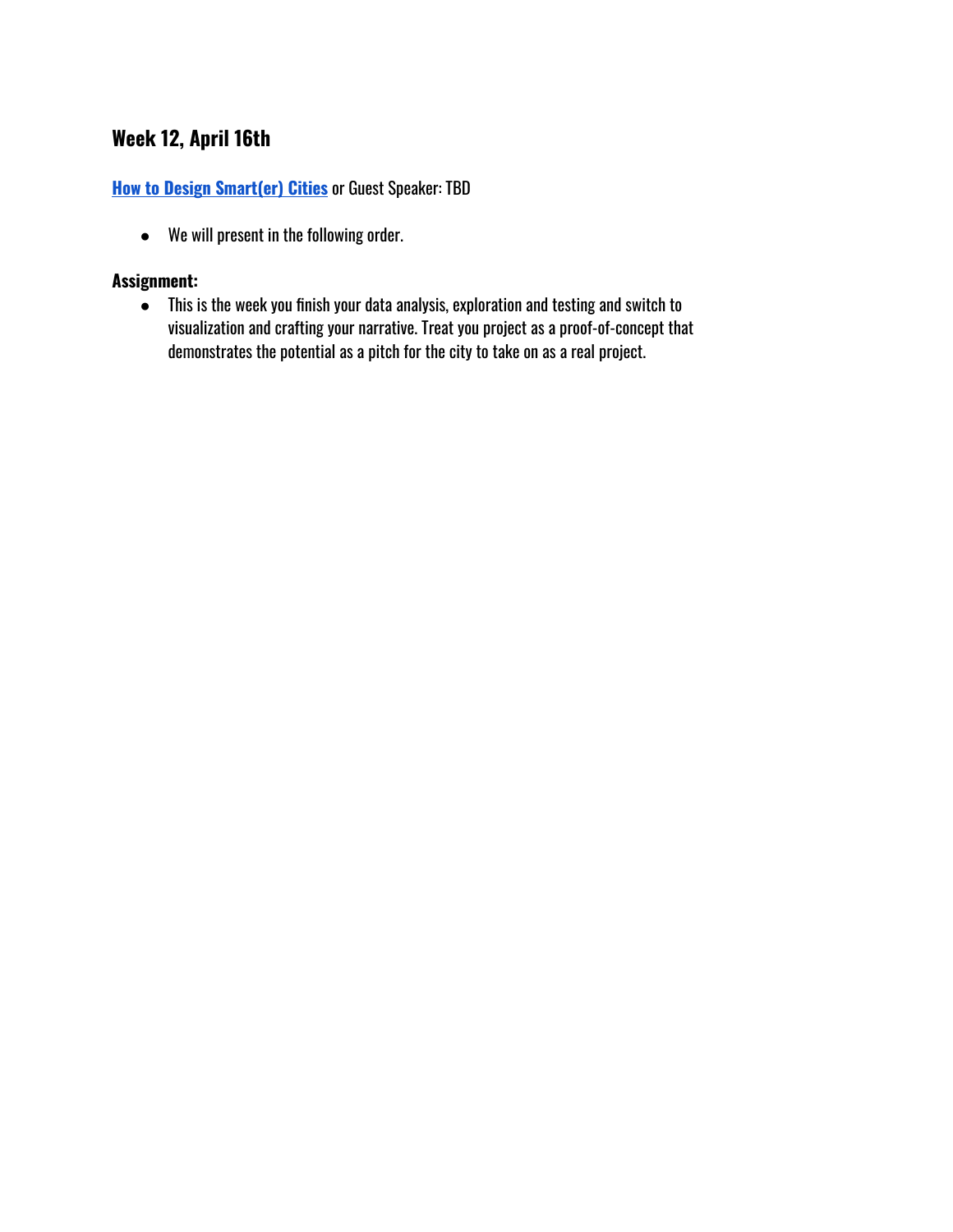# <span id="page-30-0"></span>**Week 12, April 16th**

#### **How to Design [Smart\(er\)](https://docs.google.com/presentation/d/1IkiMSVOuBB0Df7A6LEzv6q0Wj99JRhrViCY08S7s2f0/edit?usp=sharing) Cities** or Guest Speaker: TBD

● We will present in the following order.

#### **Assignment:**

● This is the week you finish your data analysis, exploration and testing and switch to visualization and crafting your narrative. Treat you project as a proof-of-concept that demonstrates the potential as a pitch for the city to take on as a real project.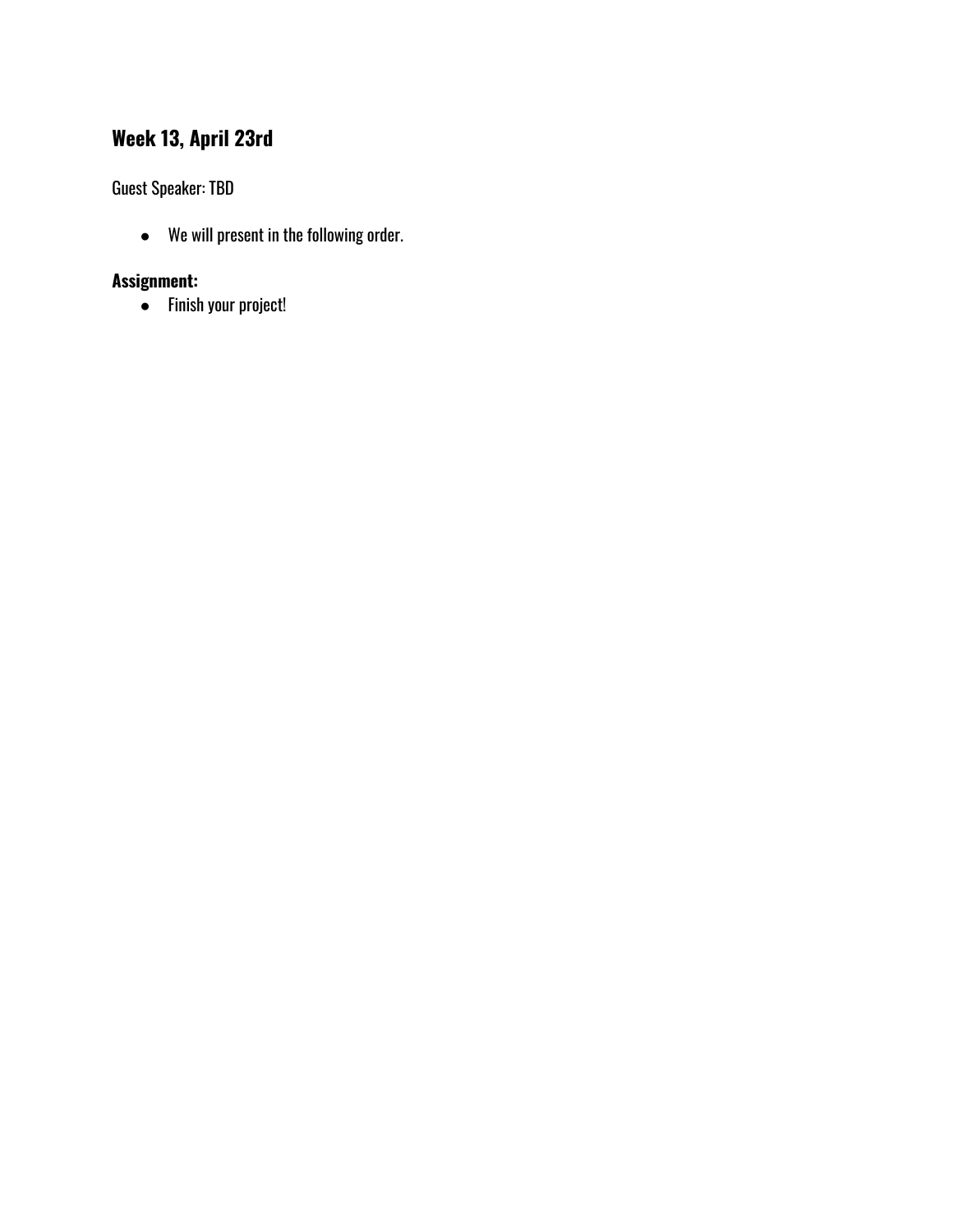# <span id="page-31-0"></span>**Week 13, April 23rd**

Guest Speaker: TBD

● We will present in the following order.

# **Assignment:**

● Finish your project!